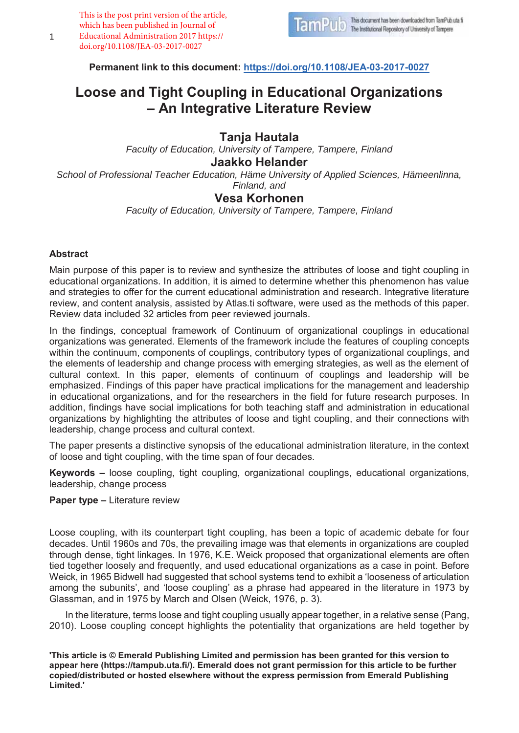This is the post print version of the article, which has been published in Journal of Educational Administration 2017 https:// doi.org/10.1108/JEA-03-2017-0027



**Permanent link to this document: https://doi.org/10.1108/JEA-03-2017-0027**

# **Loose and Tight Coupling in Educational Organizations – An Integrative Literature Review**

# **Tanja Hautala**

*Faculty of Education, University of Tampere, Tampere, Finland* 

# **Jaakko Helander**

*School of Professional Teacher Education, Häme University of Applied Sciences, Hämeenlinna, Finland, and*

# **Vesa Korhonen**

*Faculty of Education, University of Tampere, Tampere, Finland*

## **Abstract**

Main purpose of this paper is to review and synthesize the attributes of loose and tight coupling in educational organizations. In addition, it is aimed to determine whether this phenomenon has value and strategies to offer for the current educational administration and research. Integrative literature review, and content analysis, assisted by Atlas.ti software, were used as the methods of this paper. Review data included 32 articles from peer reviewed journals.

In the findings, conceptual framework of Continuum of organizational couplings in educational organizations was generated. Elements of the framework include the features of coupling concepts within the continuum, components of couplings, contributory types of organizational couplings, and the elements of leadership and change process with emerging strategies, as well as the element of cultural context. In this paper, elements of continuum of couplings and leadership will be emphasized. Findings of this paper have practical implications for the management and leadership in educational organizations, and for the researchers in the field for future research purposes. In addition, findings have social implications for both teaching staff and administration in educational organizations by highlighting the attributes of loose and tight coupling, and their connections with leadership, change process and cultural context.

The paper presents a distinctive synopsis of the educational administration literature, in the context of loose and tight coupling, with the time span of four decades.

**Keywords –** loose coupling, tight coupling, organizational couplings, educational organizations, leadership, change process

#### **Paper type –** Literature review

Loose coupling, with its counterpart tight coupling, has been a topic of academic debate for four decades. Until 1960s and 70s, the prevailing image was that elements in organizations are coupled through dense, tight linkages. In 1976, K.E. Weick proposed that organizational elements are often tied together loosely and frequently, and used educational organizations as a case in point. Before Weick, in 1965 Bidwell had suggested that school systems tend to exhibit a 'looseness of articulation among the subunits', and 'loose coupling' as a phrase had appeared in the literature in 1973 by Glassman, and in 1975 by March and Olsen (Weick, 1976, p. 3).

In the literature, terms loose and tight coupling usually appear together, in a relative sense (Pang, 2010). Loose coupling concept highlights the potentiality that organizations are held together by

**'This article is © Emerald Publishing Limited and permission has been granted for this version to appear here (https://tampub.uta.fi/). Emerald does not grant permission for this article to be further copied/distributed or hosted elsewhere without the express permission from Emerald Publishing Limited.'**

1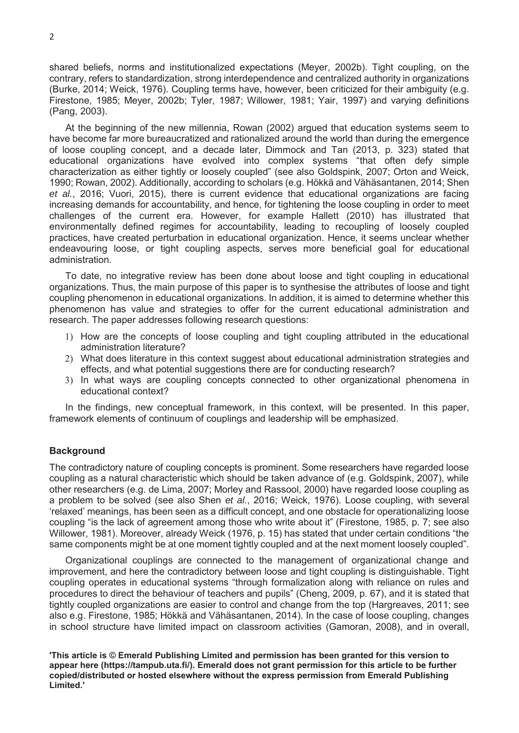shared beliefs, norms and institutionalized expectations (Meyer, 2002b). Tight coupling, on the contrary, refers to standardization, strong interdependence and centralized authority in organizations (Burke, 2014; Weick, 1976). Coupling terms have, however, been criticized for their ambiguity (e.g. Firestone, 1985; Meyer, 2002b; Tyler, 1987; Willower, 1981; Yair, 1997) and varying definitions (Pang, 2003).

 At the beginning of the new millennia, Rowan (2002) argued that education systems seem to have become far more bureaucratized and rationalized around the world than during the emergence of loose coupling concept, and a decade later, Dimmock and Tan (2013, p. 323) stated that educational organizations have evolved into complex systems "that often defy simple characterization as either tightly or loosely coupled" (see also Goldspink, 2007; Orton and Weick, 1990; Rowan, 2002). Additionally, according to scholars (e.g. Hökkä and Vähäsantanen, 2014; Shen *et al.*, 2016; Vuori, 2015), there is current evidence that educational organizations are facing increasing demands for accountability, and hence, for tightening the loose coupling in order to meet challenges of the current era. However, for example Hallett (2010) has illustrated that environmentally defined regimes for accountability, leading to recoupling of loosely coupled practices, have created perturbation in educational organization. Hence, it seems unclear whether endeavouring loose, or tight coupling aspects, serves more beneficial goal for educational administration.

 To date, no integrative review has been done about loose and tight coupling in educational organizations. Thus, the main purpose of this paper is to synthesise the attributes of loose and tight coupling phenomenon in educational organizations. In addition, it is aimed to determine whether this phenomenon has value and strategies to offer for the current educational administration and research. The paper addresses following research questions:

- 1) How are the concepts of loose coupling and tight coupling attributed in the educational administration literature?
- 2) What does literature in this context suggest about educational administration strategies and effects, and what potential suggestions there are for conducting research?
- 3) In what ways are coupling concepts connected to other organizational phenomena in educational context?

 In the findings, new conceptual framework, in this context, will be presented. In this paper, framework elements of continuum of couplings and leadership will be emphasized.

#### **Background**

The contradictory nature of coupling concepts is prominent. Some researchers have regarded loose coupling as a natural characteristic which should be taken advance of (e.g. Goldspink, 2007), while other researchers (e.g. de Lima, 2007; Morley and Rassool, 2000) have regarded loose coupling as a problem to be solved (see also Shen *et al.*, 2016; Weick, 1976). Loose coupling, with several 'relaxed' meanings, has been seen as a difficult concept, and one obstacle for operationalizing loose coupling "is the lack of agreement among those who write about it" (Firestone, 1985, p. 7; see also Willower, 1981). Moreover, already Weick (1976, p. 15) has stated that under certain conditions "the same components might be at one moment tightly coupled and at the next moment loosely coupled".

 Organizational couplings are connected to the management of organizational change and improvement, and here the contradictory between loose and tight coupling is distinguishable. Tight coupling operates in educational systems "through formalization along with reliance on rules and procedures to direct the behaviour of teachers and pupils" (Cheng, 2009, p. 67), and it is stated that tightly coupled organizations are easier to control and change from the top (Hargreaves, 2011; see also e.g. Firestone, 1985; Hökkä and Vähäsantanen, 2014). In the case of loose coupling, changes in school structure have limited impact on classroom activities (Gamoran, 2008), and in overall,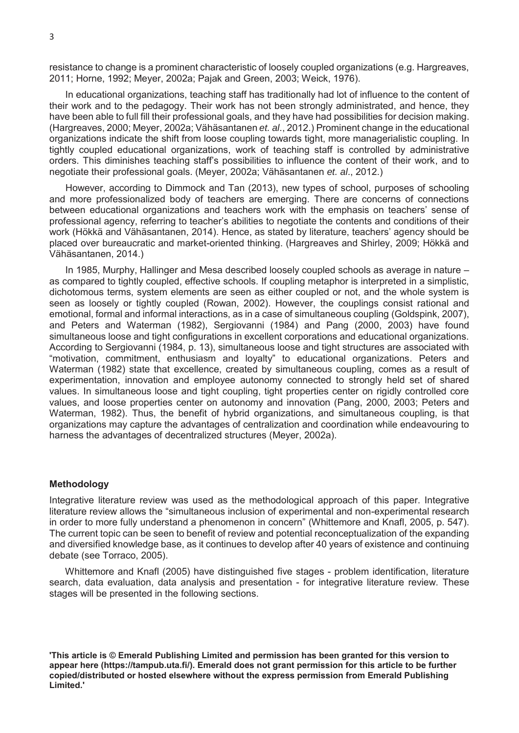resistance to change is a prominent characteristic of loosely coupled organizations (e.g. Hargreaves, 2011; Horne, 1992; Meyer, 2002a; Pajak and Green, 2003; Weick, 1976).

 In educational organizations, teaching staff has traditionally had lot of influence to the content of their work and to the pedagogy. Their work has not been strongly administrated, and hence, they have been able to full fill their professional goals, and they have had possibilities for decision making. (Hargreaves, 2000; Meyer, 2002a; Vähäsantanen *et. al*., 2012.) Prominent change in the educational organizations indicate the shift from loose coupling towards tight, more managerialistic coupling. In tightly coupled educational organizations, work of teaching staff is controlled by administrative orders. This diminishes teaching staff's possibilities to influence the content of their work, and to negotiate their professional goals. (Meyer, 2002a; Vähäsantanen *et. al*., 2012.)

 However, according to Dimmock and Tan (2013), new types of school, purposes of schooling and more professionalized body of teachers are emerging. There are concerns of connections between educational organizations and teachers work with the emphasis on teachers' sense of professional agency, referring to teacher's abilities to negotiate the contents and conditions of their work (Hökkä and Vähäsantanen, 2014). Hence, as stated by literature, teachers' agency should be placed over bureaucratic and market-oriented thinking. (Hargreaves and Shirley, 2009; Hökkä and Vähäsantanen, 2014.)

 In 1985, Murphy, Hallinger and Mesa described loosely coupled schools as average in nature – as compared to tightly coupled, effective schools. If coupling metaphor is interpreted in a simplistic, dichotomous terms, system elements are seen as either coupled or not, and the whole system is seen as loosely or tightly coupled (Rowan, 2002). However, the couplings consist rational and emotional, formal and informal interactions, as in a case of simultaneous coupling (Goldspink, 2007), and Peters and Waterman (1982), Sergiovanni (1984) and Pang (2000, 2003) have found simultaneous loose and tight configurations in excellent corporations and educational organizations. According to Sergiovanni (1984, p. 13), simultaneous loose and tight structures are associated with "motivation, commitment, enthusiasm and loyalty" to educational organizations. Peters and Waterman (1982) state that excellence, created by simultaneous coupling, comes as a result of experimentation, innovation and employee autonomy connected to strongly held set of shared values. In simultaneous loose and tight coupling, tight properties center on rigidly controlled core values, and loose properties center on autonomy and innovation (Pang, 2000, 2003; Peters and Waterman, 1982). Thus, the benefit of hybrid organizations, and simultaneous coupling, is that organizations may capture the advantages of centralization and coordination while endeavouring to harness the advantages of decentralized structures (Meyer, 2002a).

## **Methodology**

Integrative literature review was used as the methodological approach of this paper. Integrative literature review allows the "simultaneous inclusion of experimental and non-experimental research in order to more fully understand a phenomenon in concern" (Whittemore and Knafl, 2005, p. 547). The current topic can be seen to benefit of review and potential reconceptualization of the expanding and diversified knowledge base, as it continues to develop after 40 years of existence and continuing debate (see Torraco, 2005).

 Whittemore and Knafl (2005) have distinguished five stages - problem identification, literature search, data evaluation, data analysis and presentation - for integrative literature review. These stages will be presented in the following sections.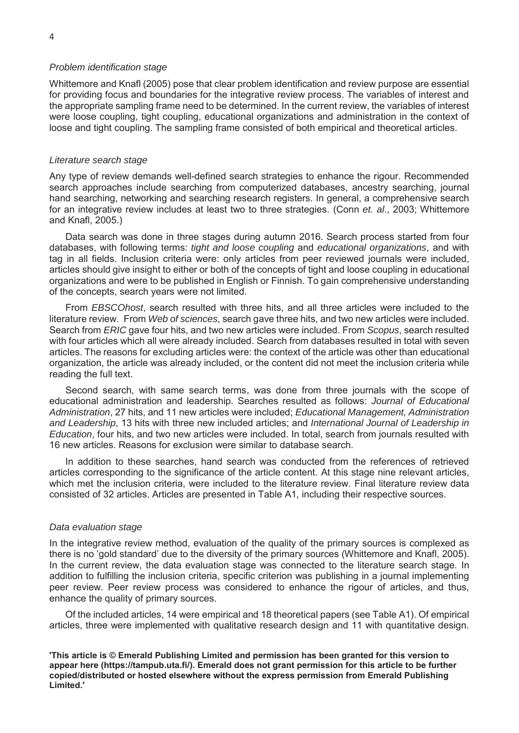#### *Problem identification stage*

Whittemore and Knafl (2005) pose that clear problem identification and review purpose are essential for providing focus and boundaries for the integrative review process. The variables of interest and the appropriate sampling frame need to be determined. In the current review, the variables of interest were loose coupling, tight coupling, educational organizations and administration in the context of loose and tight coupling. The sampling frame consisted of both empirical and theoretical articles.

#### *Literature search stage*

Any type of review demands well-defined search strategies to enhance the rigour. Recommended search approaches include searching from computerized databases, ancestry searching, journal hand searching, networking and searching research registers. In general, a comprehensive search for an integrative review includes at least two to three strategies. (Conn *et. al*., 2003; Whittemore and Knafl, 2005.)

 Data search was done in three stages during autumn 2016. Search process started from four databases, with following terms: *tight and loose coupling* and *educational organizations*, and with tag in all fields. Inclusion criteria were: only articles from peer reviewed journals were included, articles should give insight to either or both of the concepts of tight and loose coupling in educational organizations and were to be published in English or Finnish. To gain comprehensive understanding of the concepts, search years were not limited.

 From *EBSCOhost*, search resulted with three hits, and all three articles were included to the literature review. From *Web of sciences*, search gave three hits, and two new articles were included. Search from *ERIC* gave four hits, and two new articles were included. From *Scopus*, search resulted with four articles which all were already included. Search from databases resulted in total with seven articles. The reasons for excluding articles were: the context of the article was other than educational organization, the article was already included, or the content did not meet the inclusion criteria while reading the full text.

 Second search, with same search terms, was done from three journals with the scope of educational administration and leadership. Searches resulted as follows: *Journal of Educational Administration*, 27 hits, and 11 new articles were included; *Educational Management, Administration and Leadership*, 13 hits with three new included articles; and *International Journal of Leadership in Education*, four hits, and two new articles were included. In total, search from journals resulted with 16 new articles. Reasons for exclusion were similar to database search.

 In addition to these searches, hand search was conducted from the references of retrieved articles corresponding to the significance of the article content. At this stage nine relevant articles, which met the inclusion criteria, were included to the literature review. Final literature review data consisted of 32 articles. Articles are presented in Table A1, including their respective sources.

#### *Data evaluation stage*

In the integrative review method, evaluation of the quality of the primary sources is complexed as there is no 'gold standard' due to the diversity of the primary sources (Whittemore and Knafl, 2005). In the current review, the data evaluation stage was connected to the literature search stage. In addition to fulfilling the inclusion criteria, specific criterion was publishing in a journal implementing peer review. Peer review process was considered to enhance the rigour of articles, and thus, enhance the quality of primary sources.

 Of the included articles, 14 were empirical and 18 theoretical papers (see Table A1). Of empirical articles, three were implemented with qualitative research design and 11 with quantitative design.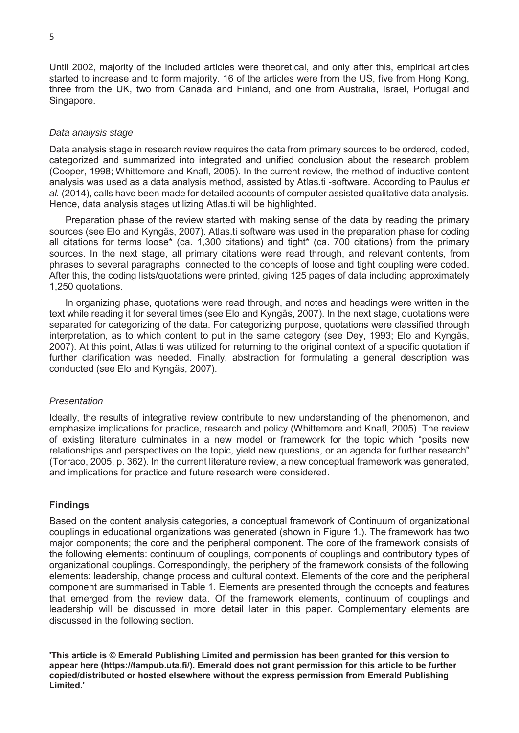Until 2002, majority of the included articles were theoretical, and only after this, empirical articles started to increase and to form majority. 16 of the articles were from the US, five from Hong Kong, three from the UK, two from Canada and Finland, and one from Australia, Israel, Portugal and Singapore.

#### *Data analysis stage*

Data analysis stage in research review requires the data from primary sources to be ordered, coded, categorized and summarized into integrated and unified conclusion about the research problem (Cooper, 1998; Whittemore and Knafl, 2005). In the current review, the method of inductive content analysis was used as a data analysis method, assisted by Atlas.ti -software. According to Paulus *et al.* (2014), calls have been made for detailed accounts of computer assisted qualitative data analysis. Hence, data analysis stages utilizing Atlas.ti will be highlighted.

 Preparation phase of the review started with making sense of the data by reading the primary sources (see Elo and Kyngäs, 2007). Atlas.ti software was used in the preparation phase for coding all citations for terms loose\* (ca. 1,300 citations) and tight\* (ca. 700 citations) from the primary sources. In the next stage, all primary citations were read through, and relevant contents, from phrases to several paragraphs, connected to the concepts of loose and tight coupling were coded. After this, the coding lists/quotations were printed, giving 125 pages of data including approximately 1,250 quotations.

 In organizing phase, quotations were read through, and notes and headings were written in the text while reading it for several times (see Elo and Kyngäs, 2007). In the next stage, quotations were separated for categorizing of the data. For categorizing purpose, quotations were classified through interpretation, as to which content to put in the same category (see Dey, 1993; Elo and Kyngäs, 2007). At this point, Atlas.ti was utilized for returning to the original context of a specific quotation if further clarification was needed. Finally, abstraction for formulating a general description was conducted (see Elo and Kyngäs, 2007).

#### *Presentation*

Ideally, the results of integrative review contribute to new understanding of the phenomenon, and emphasize implications for practice, research and policy (Whittemore and Knafl, 2005). The review of existing literature culminates in a new model or framework for the topic which "posits new relationships and perspectives on the topic, yield new questions, or an agenda for further research" (Torraco, 2005, p. 362). In the current literature review, a new conceptual framework was generated, and implications for practice and future research were considered.

#### **Findings**

Based on the content analysis categories, a conceptual framework of Continuum of organizational couplings in educational organizations was generated (shown in Figure 1.). The framework has two major components; the core and the peripheral component. The core of the framework consists of the following elements: continuum of couplings, components of couplings and contributory types of organizational couplings. Correspondingly, the periphery of the framework consists of the following elements: leadership, change process and cultural context. Elements of the core and the peripheral component are summarised in Table 1. Elements are presented through the concepts and features that emerged from the review data. Of the framework elements, continuum of couplings and leadership will be discussed in more detail later in this paper. Complementary elements are discussed in the following section.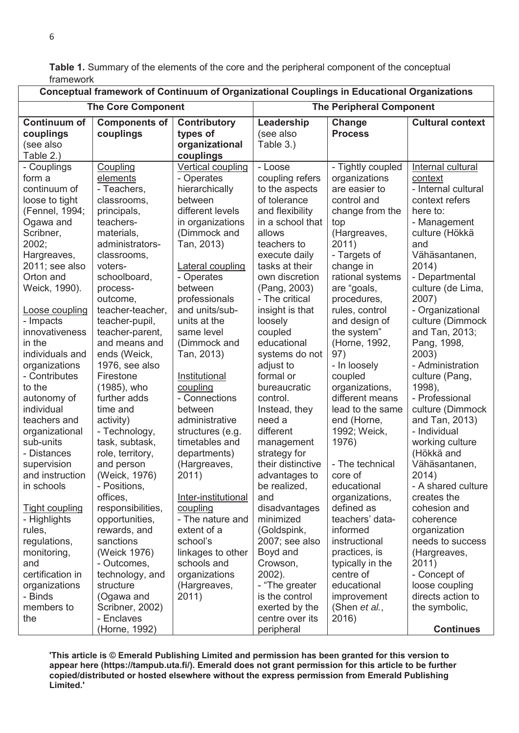**Table 1.** Summary of the elements of the core and the peripheral component of the conceptual framework

| Conceptual framework of Continuum of Organizational Couplings in Educational Organizations                                                                                                                                                                                                                                                                                                                                                                                                                                                                                     |                                                                                                                                                                                                                                                                                                                                                                                                                                                                                                                                                                                                                         |                                                                                                                                                                                                                                                                                                                                                                                                                                                                                                                                                                                                        |                                                                                                                                                                                                                                                                                                                                                                                                                                                                                                                                                                                                           |                                                                                                                                                                                                                                                                                                                                                                                                                                                                                                                                                                                                          |                                                                                                                                                                                                                                                                                                                                                                                                                                                                                                                                                                                                                                            |
|--------------------------------------------------------------------------------------------------------------------------------------------------------------------------------------------------------------------------------------------------------------------------------------------------------------------------------------------------------------------------------------------------------------------------------------------------------------------------------------------------------------------------------------------------------------------------------|-------------------------------------------------------------------------------------------------------------------------------------------------------------------------------------------------------------------------------------------------------------------------------------------------------------------------------------------------------------------------------------------------------------------------------------------------------------------------------------------------------------------------------------------------------------------------------------------------------------------------|--------------------------------------------------------------------------------------------------------------------------------------------------------------------------------------------------------------------------------------------------------------------------------------------------------------------------------------------------------------------------------------------------------------------------------------------------------------------------------------------------------------------------------------------------------------------------------------------------------|-----------------------------------------------------------------------------------------------------------------------------------------------------------------------------------------------------------------------------------------------------------------------------------------------------------------------------------------------------------------------------------------------------------------------------------------------------------------------------------------------------------------------------------------------------------------------------------------------------------|----------------------------------------------------------------------------------------------------------------------------------------------------------------------------------------------------------------------------------------------------------------------------------------------------------------------------------------------------------------------------------------------------------------------------------------------------------------------------------------------------------------------------------------------------------------------------------------------------------|--------------------------------------------------------------------------------------------------------------------------------------------------------------------------------------------------------------------------------------------------------------------------------------------------------------------------------------------------------------------------------------------------------------------------------------------------------------------------------------------------------------------------------------------------------------------------------------------------------------------------------------------|
| <b>The Core Component</b>                                                                                                                                                                                                                                                                                                                                                                                                                                                                                                                                                      |                                                                                                                                                                                                                                                                                                                                                                                                                                                                                                                                                                                                                         |                                                                                                                                                                                                                                                                                                                                                                                                                                                                                                                                                                                                        | <b>The Peripheral Component</b>                                                                                                                                                                                                                                                                                                                                                                                                                                                                                                                                                                           |                                                                                                                                                                                                                                                                                                                                                                                                                                                                                                                                                                                                          |                                                                                                                                                                                                                                                                                                                                                                                                                                                                                                                                                                                                                                            |
| <b>Continuum of</b><br>couplings<br>(see also<br>Table 2.)                                                                                                                                                                                                                                                                                                                                                                                                                                                                                                                     | <b>Components of</b><br>couplings                                                                                                                                                                                                                                                                                                                                                                                                                                                                                                                                                                                       | <b>Contributory</b><br>types of<br>organizational<br>couplings                                                                                                                                                                                                                                                                                                                                                                                                                                                                                                                                         | Leadership<br>(see also<br>Table 3.)                                                                                                                                                                                                                                                                                                                                                                                                                                                                                                                                                                      | Change<br><b>Process</b>                                                                                                                                                                                                                                                                                                                                                                                                                                                                                                                                                                                 | <b>Cultural context</b>                                                                                                                                                                                                                                                                                                                                                                                                                                                                                                                                                                                                                    |
| - Couplings<br>form a<br>continuum of<br>loose to tight<br>(Fennel, 1994;<br>Ogawa and<br>Scribner,<br>2002;<br>Hargreaves,<br>2011; see also<br>Orton and<br>Weick, 1990).<br>Loose coupling<br>- Impacts<br>innovativeness<br>in the<br>individuals and<br>organizations<br>- Contributes<br>to the<br>autonomy of<br>individual<br>teachers and<br>organizational<br>sub-units<br>- Distances<br>supervision<br>and instruction<br>in schools<br><b>Tight coupling</b><br>- Highlights<br>rules,<br>regulations,<br>monitoring,<br>and<br>certification in<br>organizations | Coupling<br>elements<br>- Teachers,<br>classrooms,<br>principals,<br>teachers-<br>materials,<br>administrators-<br>classrooms,<br>voters-<br>schoolboard,<br>process-<br>outcome,<br>teacher-teacher,<br>teacher-pupil,<br>teacher-parent,<br>and means and<br>ends (Weick,<br>1976, see also<br>Firestone<br>(1985), who<br>further adds<br>time and<br>activity)<br>- Technology,<br>task, subtask,<br>role, territory,<br>and person<br>(Weick, 1976)<br>- Positions,<br>offices,<br>responsibilities,<br>opportunities,<br>rewards, and<br>sanctions<br>(Weick 1976)<br>- Outcomes,<br>technology, and<br>structure | <b>Vertical coupling</b><br>- Operates<br>hierarchically<br>between<br>different levels<br>in organizations<br>(Dimmock and<br>Tan, 2013)<br>Lateral coupling<br>- Operates<br>between<br>professionals<br>and units/sub-<br>units at the<br>same level<br>(Dimmock and<br>Tan, 2013)<br>Institutional<br>coupling<br>- Connections<br>between<br>administrative<br>structures (e.g.<br>timetables and<br>departments)<br>(Hargreaves,<br>2011)<br>Inter-institutional<br>coupling<br>- The nature and<br>extent of a<br>school's<br>linkages to other<br>schools and<br>organizations<br>(Hargreaves, | - Loose<br>coupling refers<br>to the aspects<br>of tolerance<br>and flexibility<br>in a school that<br>allows<br>teachers to<br>execute daily<br>tasks at their<br>own discretion<br>(Pang, 2003)<br>- The critical<br>insight is that<br>loosely<br>coupled<br>educational<br>systems do not<br>adjust to<br>formal or<br>bureaucratic<br>control.<br>Instead, they<br>need a<br>different<br>management<br>strategy for<br>their distinctive<br>advantages to<br>be realized,<br>and<br>disadvantages<br>minimized<br>(Goldspink,<br>2007; see also<br>Boyd and<br>Crowson,<br>2002).<br>- "The greater | - Tightly coupled<br>organizations<br>are easier to<br>control and<br>change from the<br>top<br>(Hargreaves,<br>2011)<br>- Targets of<br>change in<br>rational systems<br>are "goals,<br>procedures,<br>rules, control<br>and design of<br>the system"<br>(Horne, 1992,<br>97)<br>- In loosely<br>coupled<br>organizations,<br>different means<br>lead to the same<br>end (Horne,<br>1992; Weick,<br>1976)<br>- The technical<br>core of<br>educational<br>organizations,<br>defined as<br>teachers' data-<br>informed<br>instructional<br>practices, is<br>typically in the<br>centre of<br>educational | Internal cultural<br>context<br>- Internal cultural<br>context refers<br>here to:<br>- Management<br>culture (Hökkä<br>and<br>Vähäsantanen,<br>2014)<br>- Departmental<br>culture (de Lima,<br>2007)<br>- Organizational<br>culture (Dimmock<br>and Tan, 2013;<br>Pang, 1998,<br>2003)<br>- Administration<br>culture (Pang,<br>1998),<br>- Professional<br>culture (Dimmock<br>and Tan, 2013)<br>- Individual<br>working culture<br>(Hökkä and<br>Vähäsantanen,<br>2014)<br>- A shared culture<br>creates the<br>cohesion and<br>coherence<br>organization<br>needs to success<br>(Hargreaves,<br>2011)<br>- Concept of<br>loose coupling |
| - Binds<br>members to<br>the                                                                                                                                                                                                                                                                                                                                                                                                                                                                                                                                                   | (Ogawa and<br>Scribner, 2002)<br>- Enclaves                                                                                                                                                                                                                                                                                                                                                                                                                                                                                                                                                                             | 2011)                                                                                                                                                                                                                                                                                                                                                                                                                                                                                                                                                                                                  | is the control<br>exerted by the<br>centre over its                                                                                                                                                                                                                                                                                                                                                                                                                                                                                                                                                       | improvement<br>(Shen et al.,<br>2016)                                                                                                                                                                                                                                                                                                                                                                                                                                                                                                                                                                    | directs action to<br>the symbolic,                                                                                                                                                                                                                                                                                                                                                                                                                                                                                                                                                                                                         |
|                                                                                                                                                                                                                                                                                                                                                                                                                                                                                                                                                                                | (Horne, 1992)                                                                                                                                                                                                                                                                                                                                                                                                                                                                                                                                                                                                           |                                                                                                                                                                                                                                                                                                                                                                                                                                                                                                                                                                                                        | peripheral                                                                                                                                                                                                                                                                                                                                                                                                                                                                                                                                                                                                |                                                                                                                                                                                                                                                                                                                                                                                                                                                                                                                                                                                                          | <b>Continues</b>                                                                                                                                                                                                                                                                                                                                                                                                                                                                                                                                                                                                                           |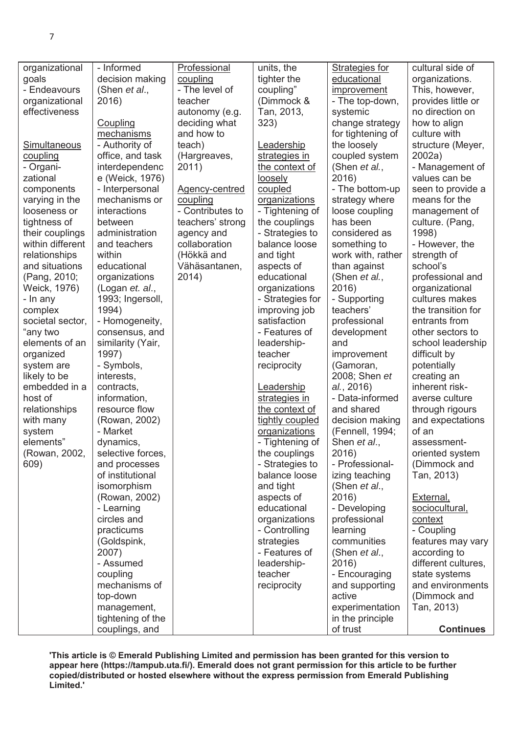| organizational      | - Informed        | Professional          | units, the           | Strategies for     | cultural side of        |
|---------------------|-------------------|-----------------------|----------------------|--------------------|-------------------------|
| goals               | decision making   | coupling              | tighter the          | educational        | organizations.          |
| - Endeavours        | (Shen et al.,     | - The level of        | coupling"            | <i>improvement</i> | This, however,          |
| organizational      | 2016)             | teacher               | (Dimmock &           | - The top-down,    | provides little or      |
| effectiveness       |                   | autonomy (e.g.        | Tan, 2013,           | systemic           | no direction on         |
|                     | Coupling          | deciding what         | 323)                 | change strategy    | how to align            |
|                     | mechanisms        | and how to            |                      | for tightening of  | culture with            |
| <b>Simultaneous</b> | - Authority of    | teach)                | Leadership           | the loosely        | structure (Meyer,       |
| coupling            | office, and task  | (Hargreaves,          | strategies in        | coupled system     | 2002a)                  |
| - Organi-           | interdependenc    | 2011)                 | the context of       | (Shen et al.,      | - Management of         |
| zational            | e (Weick, 1976)   |                       | loosely              | 2016)              | values can be           |
| components          | - Interpersonal   | <b>Agency-centred</b> | coupled              | - The bottom-up    | seen to provide a       |
| varying in the      | mechanisms or     | coupling              | <u>organizations</u> | strategy where     | means for the           |
| looseness or        | interactions      | - Contributes to      | - Tightening of      | loose coupling     | management of           |
| tightness of        | between           | teachers' strong      | the couplings        | has been           | culture. (Pang,         |
| their couplings     | administration    | agency and            | - Strategies to      | considered as      | 1998)                   |
| within different    | and teachers      | collaboration         | balance loose        |                    | - However, the          |
|                     | within            |                       |                      | something to       |                         |
| relationships       | educational       | (Hökkä and            | and tight            | work with, rather  | strength of<br>school's |
| and situations      |                   | Vähäsantanen,         | aspects of           | than against       |                         |
| (Pang, 2010;        | organizations     | 2014)                 | educational          | (Shen et al.,      | professional and        |
| Weick, 1976)        | (Logan et. al.,   |                       | organizations        | 2016)              | organizational          |
| - In any            | 1993; Ingersoll,  |                       | - Strategies for     | - Supporting       | cultures makes          |
| complex             | 1994)             |                       | improving job        | teachers'          | the transition for      |
| societal sector,    | - Homogeneity,    |                       | satisfaction         | professional       | entrants from           |
| "any two            | consensus, and    |                       | - Features of        | development        | other sectors to        |
| elements of an      | similarity (Yair, |                       | leadership-          | and                | school leadership       |
| organized           | 1997)             |                       | teacher              | improvement        | difficult by            |
| system are          | - Symbols,        |                       | reciprocity          | (Gamoran,          | potentially             |
| likely to be        | interests,        |                       |                      | 2008; Shen et      | creating an             |
| embedded in a       | contracts,        |                       | Leadership           | al., 2016)         | inherent risk-          |
| host of             | information,      |                       | strategies in        | - Data-informed    | averse culture          |
| relationships       | resource flow     |                       | the context of       | and shared         | through rigours         |
| with many           | (Rowan, 2002)     |                       | tightly coupled      | decision making    | and expectations        |
| system              | - Market          |                       | organizations        | (Fennell, 1994;    | of an                   |
| elements"           | dynamics,         |                       | - Tightening of      | Shen et al.,       | assessment-             |
| (Rowan, 2002,       | selective forces, |                       | the couplings        | 2016)              | oriented system         |
| 609)                | and processes     |                       | - Strategies to      | - Professional-    | (Dimmock and            |
|                     | of institutional  |                       | balance loose        | izing teaching     | Tan, 2013)              |
|                     | isomorphism       |                       | and tight            | (Shen et al.,      |                         |
|                     | (Rowan, 2002)     |                       | aspects of           | 2016)              | <u>External,</u>        |
|                     | - Learning        |                       | educational          | - Developing       | sociocultural,          |
|                     | circles and       |                       | organizations        | professional       | context                 |
|                     | practicums        |                       | - Controlling        | learning           | - Coupling              |
|                     | (Goldspink,       |                       | strategies           | communities        | features may vary       |
|                     | 2007)             |                       | - Features of        | (Shen et al.,      | according to            |
|                     | - Assumed         |                       | leadership-          | 2016)              | different cultures,     |
|                     | coupling          |                       | teacher              | - Encouraging      | state systems           |
|                     | mechanisms of     |                       | reciprocity          | and supporting     | and environments        |
|                     | top-down          |                       |                      | active             | (Dimmock and            |
|                     | management,       |                       |                      | experimentation    | Tan, 2013)              |
|                     | tightening of the |                       |                      | in the principle   |                         |
|                     | couplings, and    |                       |                      | of trust           | <b>Continues</b>        |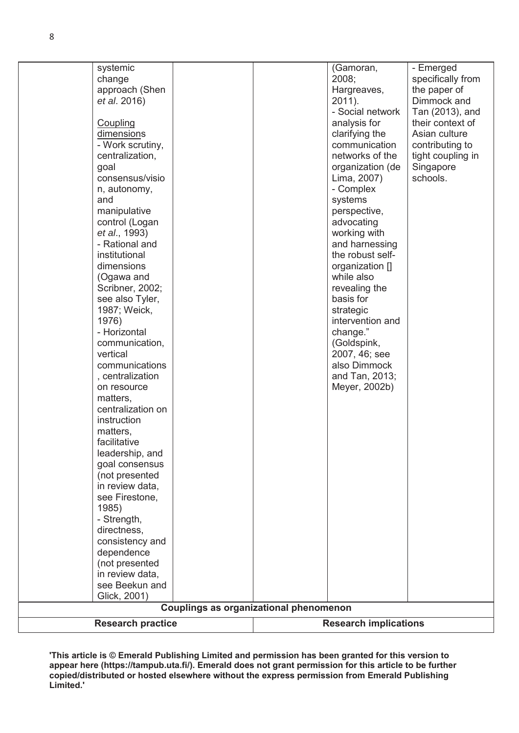|      | (not presented<br>in review data,   |                                 |                                      |
|------|-------------------------------------|---------------------------------|--------------------------------------|
|      | dependence                          |                                 |                                      |
|      | directness,<br>consistency and      |                                 |                                      |
|      | - Strength,                         |                                 |                                      |
|      | 1985)                               |                                 |                                      |
|      | see Firestone,                      |                                 |                                      |
|      | in review data,                     |                                 |                                      |
|      | (not presented                      |                                 |                                      |
|      | goal consensus                      |                                 |                                      |
|      | leadership, and                     |                                 |                                      |
|      | facilitative                        |                                 |                                      |
|      | matters,                            |                                 |                                      |
|      | instruction                         |                                 |                                      |
|      | centralization on                   |                                 |                                      |
|      | matters,                            |                                 |                                      |
|      | on resource                         | Meyer, 2002b)                   |                                      |
|      | , centralization                    | and Tan, 2013;                  |                                      |
|      | communications                      | also Dimmock                    |                                      |
|      | vertical                            | 2007, 46; see                   |                                      |
|      | communication,                      | (Goldspink,                     |                                      |
|      | - Horizontal                        | change."                        |                                      |
|      | 1976)                               | intervention and                |                                      |
|      | 1987; Weick,                        | strategic                       |                                      |
|      | see also Tyler,                     | basis for                       |                                      |
|      | Scribner, 2002;                     | revealing the                   |                                      |
|      | (Ogawa and                          | while also                      |                                      |
|      | dimensions                          | organization []                 |                                      |
|      | institutional                       | the robust self-                |                                      |
|      | - Rational and                      | and harnessing                  |                                      |
|      | et al., 1993)                       | working with                    |                                      |
|      | control (Logan                      | advocating                      |                                      |
|      | manipulative                        | perspective,                    |                                      |
| and  | n, autonomy,                        | systems                         |                                      |
|      |                                     | - Complex                       |                                      |
| goal | consensus/visio                     | Lima, 2007)                     | schools.                             |
|      |                                     | organization (de                | Singapore                            |
|      | - Work scrutiny,<br>centralization, | networks of the                 | contributing to<br>tight coupling in |
|      | dimensions                          | clarifying the<br>communication |                                      |
|      | Coupling                            | analysis for                    | Asian culture                        |
|      |                                     |                                 | Tan (2013), and<br>their context of  |
|      | et al. 2016)                        | 2011).<br>- Social network      | Dimmock and                          |
|      | approach (Shen                      | Hargreaves,                     | the paper of                         |
|      | change                              | 2008;                           | specifically from                    |
|      | systemic                            | (Gamoran,                       | - Emerged                            |
|      |                                     |                                 |                                      |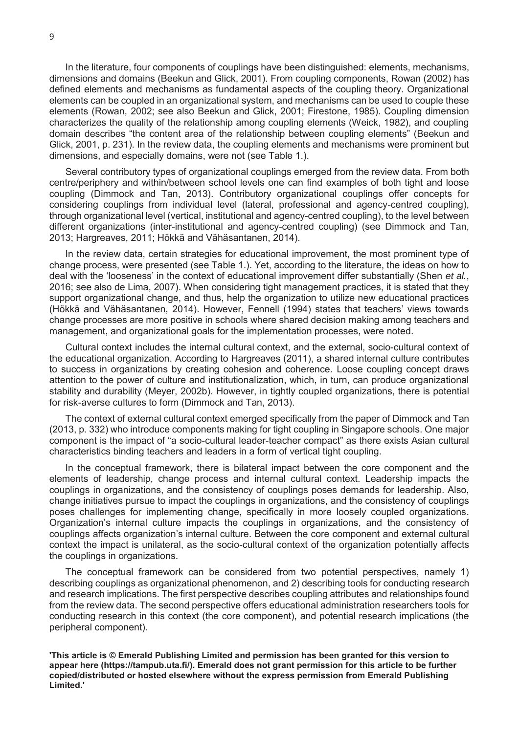In the literature, four components of couplings have been distinguished: elements, mechanisms, dimensions and domains (Beekun and Glick, 2001). From coupling components, Rowan (2002) has defined elements and mechanisms as fundamental aspects of the coupling theory. Organizational elements can be coupled in an organizational system, and mechanisms can be used to couple these elements (Rowan, 2002; see also Beekun and Glick, 2001; Firestone, 1985). Coupling dimension characterizes the quality of the relationship among coupling elements (Weick, 1982), and coupling domain describes "the content area of the relationship between coupling elements" (Beekun and Glick, 2001, p. 231). In the review data, the coupling elements and mechanisms were prominent but dimensions, and especially domains, were not (see Table 1.).

 Several contributory types of organizational couplings emerged from the review data. From both centre/periphery and within/between school levels one can find examples of both tight and loose coupling (Dimmock and Tan, 2013). Contributory organizational couplings offer concepts for considering couplings from individual level (lateral, professional and agency-centred coupling), through organizational level (vertical, institutional and agency-centred coupling), to the level between different organizations (inter-institutional and agency-centred coupling) (see Dimmock and Tan, 2013; Hargreaves, 2011; Hökkä and Vähäsantanen, 2014).

 In the review data, certain strategies for educational improvement, the most prominent type of change process, were presented (see Table 1.). Yet, according to the literature, the ideas on how to deal with the 'looseness' in the context of educational improvement differ substantially (Shen *et al.*, 2016; see also de Lima, 2007). When considering tight management practices, it is stated that they support organizational change, and thus, help the organization to utilize new educational practices (Hökkä and Vähäsantanen, 2014). However, Fennell (1994) states that teachers' views towards change processes are more positive in schools where shared decision making among teachers and management, and organizational goals for the implementation processes, were noted.

Cultural context includes the internal cultural context, and the external, socio-cultural context of the educational organization. According to Hargreaves (2011), a shared internal culture contributes to success in organizations by creating cohesion and coherence. Loose coupling concept draws attention to the power of culture and institutionalization, which, in turn, can produce organizational stability and durability (Meyer, 2002b). However, in tightly coupled organizations, there is potential for risk-averse cultures to form (Dimmock and Tan, 2013).

 The context of external cultural context emerged specifically from the paper of Dimmock and Tan (2013, p. 332) who introduce components making for tight coupling in Singapore schools. One major component is the impact of "a socio-cultural leader-teacher compact" as there exists Asian cultural characteristics binding teachers and leaders in a form of vertical tight coupling.

 In the conceptual framework, there is bilateral impact between the core component and the elements of leadership, change process and internal cultural context. Leadership impacts the couplings in organizations, and the consistency of couplings poses demands for leadership. Also, change initiatives pursue to impact the couplings in organizations, and the consistency of couplings poses challenges for implementing change, specifically in more loosely coupled organizations. Organization's internal culture impacts the couplings in organizations, and the consistency of couplings affects organization's internal culture. Between the core component and external cultural context the impact is unilateral, as the socio-cultural context of the organization potentially affects the couplings in organizations.

 The conceptual framework can be considered from two potential perspectives, namely 1) describing couplings as organizational phenomenon, and 2) describing tools for conducting research and research implications. The first perspective describes coupling attributes and relationships found from the review data. The second perspective offers educational administration researchers tools for conducting research in this context (the core component), and potential research implications (the peripheral component).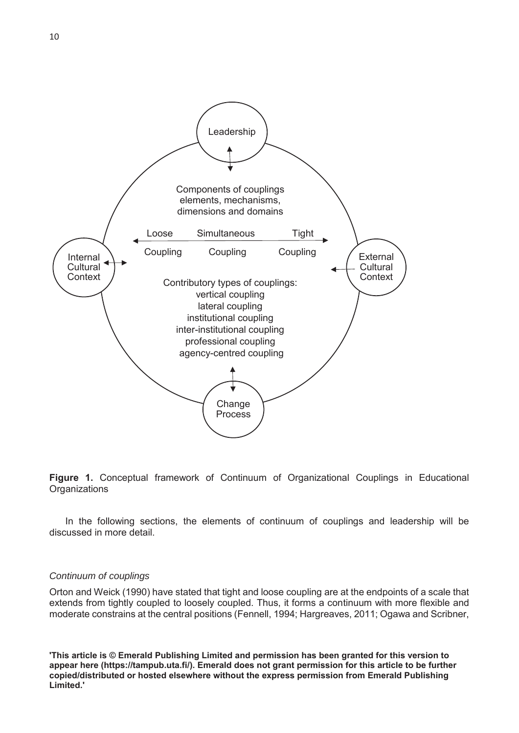



 In the following sections, the elements of continuum of couplings and leadership will be discussed in more detail.

#### *Continuum of couplings*

Orton and Weick (1990) have stated that tight and loose coupling are at the endpoints of a scale that extends from tightly coupled to loosely coupled. Thus, it forms a continuum with more flexible and moderate constrains at the central positions (Fennell, 1994; Hargreaves, 2011; Ogawa and Scribner,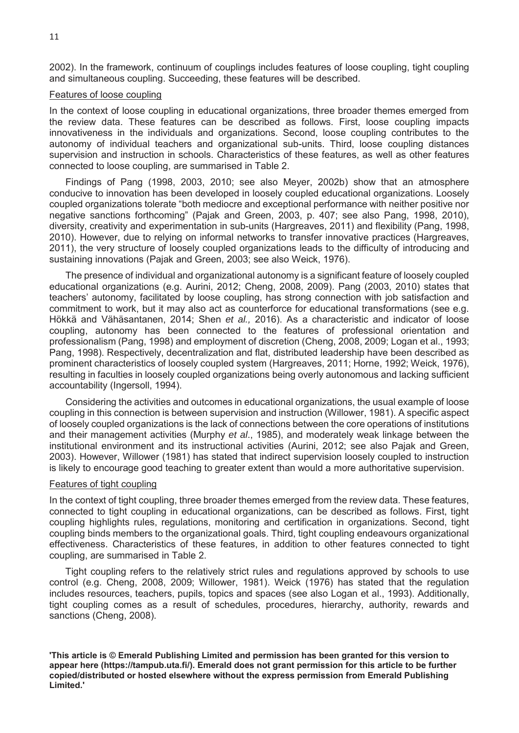2002). In the framework, continuum of couplings includes features of loose coupling, tight coupling and simultaneous coupling. Succeeding, these features will be described.

#### Features of loose coupling

In the context of loose coupling in educational organizations, three broader themes emerged from the review data. These features can be described as follows. First, loose coupling impacts innovativeness in the individuals and organizations. Second, loose coupling contributes to the autonomy of individual teachers and organizational sub-units. Third, loose coupling distances supervision and instruction in schools. Characteristics of these features, as well as other features connected to loose coupling, are summarised in Table 2.

 Findings of Pang (1998, 2003, 2010; see also Meyer, 2002b) show that an atmosphere conducive to innovation has been developed in loosely coupled educational organizations. Loosely coupled organizations tolerate "both mediocre and exceptional performance with neither positive nor negative sanctions forthcoming" (Pajak and Green, 2003, p. 407; see also Pang, 1998, 2010), diversity, creativity and experimentation in sub-units (Hargreaves, 2011) and flexibility (Pang, 1998, 2010). However, due to relying on informal networks to transfer innovative practices (Hargreaves, 2011), the very structure of loosely coupled organizations leads to the difficulty of introducing and sustaining innovations (Pajak and Green, 2003; see also Weick, 1976).

 The presence of individual and organizational autonomy is a significant feature of loosely coupled educational organizations (e.g. Aurini, 2012; Cheng, 2008, 2009). Pang (2003, 2010) states that teachers' autonomy, facilitated by loose coupling, has strong connection with job satisfaction and commitment to work, but it may also act as counterforce for educational transformations (see e.g. Hökkä and Vähäsantanen, 2014; Shen *et al.,* 2016). As a characteristic and indicator of loose coupling, autonomy has been connected to the features of professional orientation and professionalism (Pang, 1998) and employment of discretion (Cheng, 2008, 2009; Logan et al., 1993; Pang, 1998). Respectively, decentralization and flat, distributed leadership have been described as prominent characteristics of loosely coupled system (Hargreaves, 2011; Horne, 1992; Weick, 1976), resulting in faculties in loosely coupled organizations being overly autonomous and lacking sufficient accountability (Ingersoll, 1994).

 Considering the activities and outcomes in educational organizations, the usual example of loose coupling in this connection is between supervision and instruction (Willower, 1981). A specific aspect of loosely coupled organizations is the lack of connections between the core operations of institutions and their management activities (Murphy *et al*., 1985), and moderately weak linkage between the institutional environment and its instructional activities (Aurini, 2012; see also Pajak and Green, 2003). However, Willower (1981) has stated that indirect supervision loosely coupled to instruction is likely to encourage good teaching to greater extent than would a more authoritative supervision.

#### Features of tight coupling

In the context of tight coupling, three broader themes emerged from the review data. These features, connected to tight coupling in educational organizations, can be described as follows. First, tight coupling highlights rules, regulations, monitoring and certification in organizations. Second, tight coupling binds members to the organizational goals. Third, tight coupling endeavours organizational effectiveness. Characteristics of these features, in addition to other features connected to tight coupling, are summarised in Table 2.

 Tight coupling refers to the relatively strict rules and regulations approved by schools to use control (e.g. Cheng, 2008, 2009; Willower, 1981). Weick (1976) has stated that the regulation includes resources, teachers, pupils, topics and spaces (see also Logan et al., 1993). Additionally, tight coupling comes as a result of schedules, procedures, hierarchy, authority, rewards and sanctions (Cheng, 2008).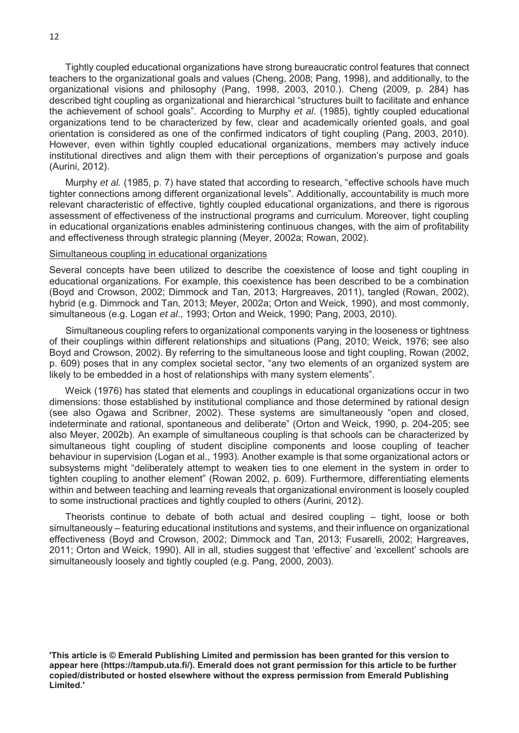Tightly coupled educational organizations have strong bureaucratic control features that connect teachers to the organizational goals and values (Cheng, 2008; Pang, 1998), and additionally, to the organizational visions and philosophy (Pang, 1998, 2003, 2010.). Cheng (2009, p. 284) has described tight coupling as organizational and hierarchical "structures built to facilitate and enhance the achievement of school goals". According to Murphy *et al*. (1985), tightly coupled educational organizations tend to be characterized by few, clear and academically oriented goals, and goal orientation is considered as one of the confirmed indicators of tight coupling (Pang, 2003, 2010). However, even within tightly coupled educational organizations, members may actively induce institutional directives and align them with their perceptions of organization's purpose and goals (Aurini, 2012).

 Murphy *et al.* (1985, p. 7) have stated that according to research, "effective schools have much tighter connections among different organizational levels". Additionally, accountability is much more relevant characteristic of effective, tightly coupled educational organizations, and there is rigorous assessment of effectiveness of the instructional programs and curriculum. Moreover, tight coupling in educational organizations enables administering continuous changes, with the aim of profitability and effectiveness through strategic planning (Meyer, 2002a; Rowan, 2002).

#### Simultaneous coupling in educational organizations

Several concepts have been utilized to describe the coexistence of loose and tight coupling in educational organizations. For example, this coexistence has been described to be a combination (Boyd and Crowson, 2002; Dimmock and Tan, 2013; Hargreaves, 2011), tangled (Rowan, 2002), hybrid (e.g. Dimmock and Tan, 2013; Meyer, 2002a; Orton and Weick, 1990), and most commonly, simultaneous (e.g. Logan *et al*., 1993; Orton and Weick, 1990; Pang, 2003, 2010).

 Simultaneous coupling refers to organizational components varying in the looseness or tightness of their couplings within different relationships and situations (Pang, 2010; Weick, 1976; see also Boyd and Crowson, 2002). By referring to the simultaneous loose and tight coupling, Rowan (2002, p. 609) poses that in any complex societal sector, "any two elements of an organized system are likely to be embedded in a host of relationships with many system elements".

 Weick (1976) has stated that elements and couplings in educational organizations occur in two dimensions: those established by institutional compliance and those determined by rational design (see also Ogawa and Scribner, 2002). These systems are simultaneously "open and closed, indeterminate and rational, spontaneous and deliberate" (Orton and Weick, 1990, p. 204-205; see also Meyer, 2002b). An example of simultaneous coupling is that schools can be characterized by simultaneous tight coupling of student discipline components and loose coupling of teacher behaviour in supervision (Logan et al., 1993). Another example is that some organizational actors or subsystems might "deliberately attempt to weaken ties to one element in the system in order to tighten coupling to another element" (Rowan 2002, p. 609). Furthermore, differentiating elements within and between teaching and learning reveals that organizational environment is loosely coupled to some instructional practices and tightly coupled to others (Aurini, 2012).

Theorists continue to debate of both actual and desired coupling – tight, loose or both simultaneously – featuring educational institutions and systems, and their influence on organizational effectiveness (Boyd and Crowson, 2002; Dimmock and Tan, 2013; Fusarelli, 2002; Hargreaves, 2011; Orton and Weick, 1990). All in all, studies suggest that 'effective' and 'excellent' schools are simultaneously loosely and tightly coupled (e.g. Pang, 2000, 2003).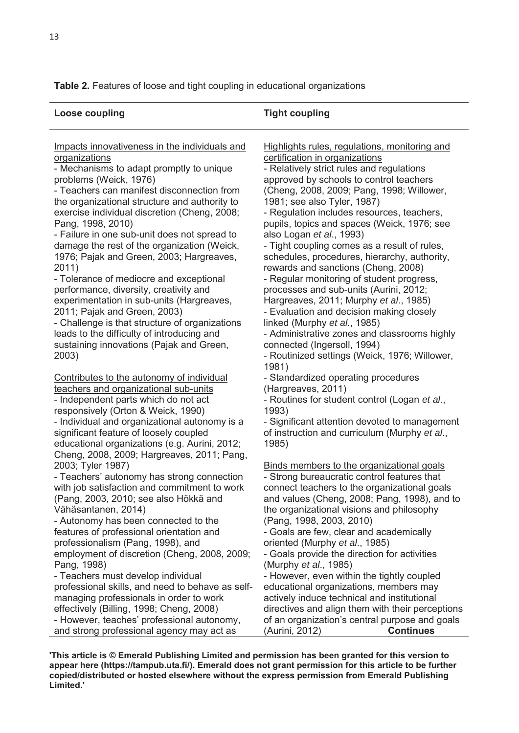**Table 2.** Features of loose and tight coupling in educational organizations

| <b>Loose coupling</b>                                                      | <b>Tight coupling</b>                                                     |
|----------------------------------------------------------------------------|---------------------------------------------------------------------------|
| Impacts innovativeness in the individuals and                              | Highlights rules, regulations, monitoring and                             |
| organizations                                                              | certification in organizations                                            |
| - Mechanisms to adapt promptly to unique                                   | - Relatively strict rules and regulations                                 |
| problems (Weick, 1976)                                                     | approved by schools to control teachers                                   |
| - Teachers can manifest disconnection from                                 | (Cheng, 2008, 2009; Pang, 1998; Willower,                                 |
| the organizational structure and authority to                              | 1981; see also Tyler, 1987)<br>- Regulation includes resources, teachers, |
| exercise individual discretion (Cheng, 2008;<br>Pang, 1998, 2010)          | pupils, topics and spaces (Weick, 1976; see                               |
| - Failure in one sub-unit does not spread to                               | also Logan et al., 1993)                                                  |
| damage the rest of the organization (Weick,                                | - Tight coupling comes as a result of rules,                              |
| 1976; Pajak and Green, 2003; Hargreaves,                                   | schedules, procedures, hierarchy, authority,                              |
| 2011)                                                                      | rewards and sanctions (Cheng, 2008)                                       |
| - Tolerance of mediocre and exceptional                                    | - Regular monitoring of student progress,                                 |
| performance, diversity, creativity and                                     | processes and sub-units (Aurini, 2012;                                    |
| experimentation in sub-units (Hargreaves,                                  | Hargreaves, 2011; Murphy et al., 1985)                                    |
| 2011; Pajak and Green, 2003)                                               | - Evaluation and decision making closely                                  |
| - Challenge is that structure of organizations                             | linked (Murphy et al., 1985)                                              |
| leads to the difficulty of introducing and                                 | - Administrative zones and classrooms highly                              |
| sustaining innovations (Pajak and Green,                                   | connected (Ingersoll, 1994)                                               |
| 2003)                                                                      | - Routinized settings (Weick, 1976; Willower,                             |
|                                                                            | 1981)                                                                     |
| Contributes to the autonomy of individual                                  | - Standardized operating procedures                                       |
| teachers and organizational sub-units                                      | (Hargreaves, 2011)                                                        |
| - Independent parts which do not act<br>responsively (Orton & Weick, 1990) | - Routines for student control (Logan et al.,<br>1993)                    |
| - Individual and organizational autonomy is a                              | - Significant attention devoted to management                             |
| significant feature of loosely coupled                                     | of instruction and curriculum (Murphy et al.,                             |
| educational organizations (e.g. Aurini, 2012;                              | 1985)                                                                     |
| Cheng, 2008, 2009; Hargreaves, 2011; Pang,                                 |                                                                           |
| 2003; Tyler 1987)                                                          | Binds members to the organizational goals                                 |
| - Teachers' autonomy has strong connection                                 | - Strong bureaucratic control features that                               |
| with job satisfaction and commitment to work                               | connect teachers to the organizational goals                              |
| (Pang, 2003, 2010; see also Hökkä and                                      | and values (Cheng, 2008; Pang, 1998), and to                              |
| Vähäsantanen, 2014)                                                        | the organizational visions and philosophy                                 |
| - Autonomy has been connected to the                                       | (Pang, 1998, 2003, 2010)                                                  |
| features of professional orientation and                                   | - Goals are few, clear and academically                                   |
| professionalism (Pang, 1998), and                                          | oriented (Murphy et al., 1985)                                            |
| employment of discretion (Cheng, 2008, 2009;                               | - Goals provide the direction for activities                              |
| Pang, 1998)<br>- Teachers must develop individual                          | (Murphy et al., 1985)<br>- However, even within the tightly coupled       |
| professional skills, and need to behave as self-                           | educational organizations, members may                                    |
| managing professionals in order to work                                    | actively induce technical and institutional                               |
| effectively (Billing, 1998; Cheng, 2008)                                   | directives and align them with their perceptions                          |
| - However, teaches' professional autonomy,                                 | of an organization's central purpose and goals                            |
| and strong professional agency may act as                                  | (Aurini, 2012)<br><b>Continues</b>                                        |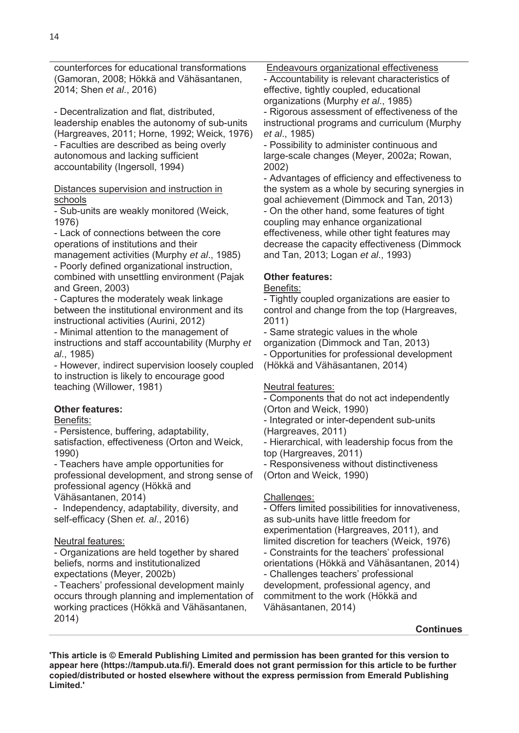counterforces for educational transformations (Gamoran, 2008; Hökkä and Vähäsantanen, 2014; Shen *et al*., 2016)

- Decentralization and flat, distributed, leadership enables the autonomy of sub-units (Hargreaves, 2011; Horne, 1992; Weick, 1976) - Faculties are described as being overly autonomous and lacking sufficient accountability (Ingersoll, 1994)

Distances supervision and instruction in schools

- Sub-units are weakly monitored (Weick, 1976)

- Lack of connections between the core operations of institutions and their management activities (Murphy *et al*., 1985)

- Poorly defined organizational instruction, combined with unsettling environment (Pajak and Green, 2003)

- Captures the moderately weak linkage between the institutional environment and its instructional activities (Aurini, 2012)

- Minimal attention to the management of instructions and staff accountability (Murphy *et al*., 1985)

- However, indirect supervision loosely coupled to instruction is likely to encourage good teaching (Willower, 1981)

# **Other features:**

## Benefits:

- Persistence, buffering, adaptability,

satisfaction, effectiveness (Orton and Weick, 1990)

- Teachers have ample opportunities for professional development, and strong sense of professional agency (Hökkä and

Vähäsantanen, 2014)

- Independency, adaptability, diversity, and self-efficacy (Shen *et. al*., 2016)

# Neutral features:

- Organizations are held together by shared beliefs, norms and institutionalized expectations (Meyer, 2002b)

- Teachers' professional development mainly occurs through planning and implementation of working practices (Hökkä and Vähäsantanen, 2014)

Endeavours organizational effectiveness

- Accountability is relevant characteristics of effective, tightly coupled, educational organizations (Murphy *et al*., 1985)

- Rigorous assessment of effectiveness of the instructional programs and curriculum (Murphy *et al*., 1985)

- Possibility to administer continuous and large-scale changes (Meyer, 2002a; Rowan, 2002)

- Advantages of efficiency and effectiveness to the system as a whole by securing synergies in goal achievement (Dimmock and Tan, 2013) - On the other hand, some features of tight coupling may enhance organizational effectiveness, while other tight features may decrease the capacity effectiveness (Dimmock and Tan, 2013; Logan *et al*., 1993)

# **Other features:**

Benefits:

- Tightly coupled organizations are easier to control and change from the top (Hargreaves, 2011)

- Same strategic values in the whole organization (Dimmock and Tan, 2013) - Opportunities for professional development (Hökkä and Vähäsantanen, 2014)

# Neutral features:

- Components that do not act independently (Orton and Weick, 1990)

- Integrated or inter-dependent sub-units (Hargreaves, 2011)

- Hierarchical, with leadership focus from the top (Hargreaves, 2011)

- Responsiveness without distinctiveness (Orton and Weick, 1990)

# Challenges:

- Offers limited possibilities for innovativeness, as sub-units have little freedom for experimentation (Hargreaves, 2011), and limited discretion for teachers (Weick, 1976) - Constraints for the teachers' professional orientations (Hökkä and Vähäsantanen, 2014) - Challenges teachers' professional development, professional agency, and commitment to the work (Hökkä and Vähäsantanen, 2014)

#### **Continues**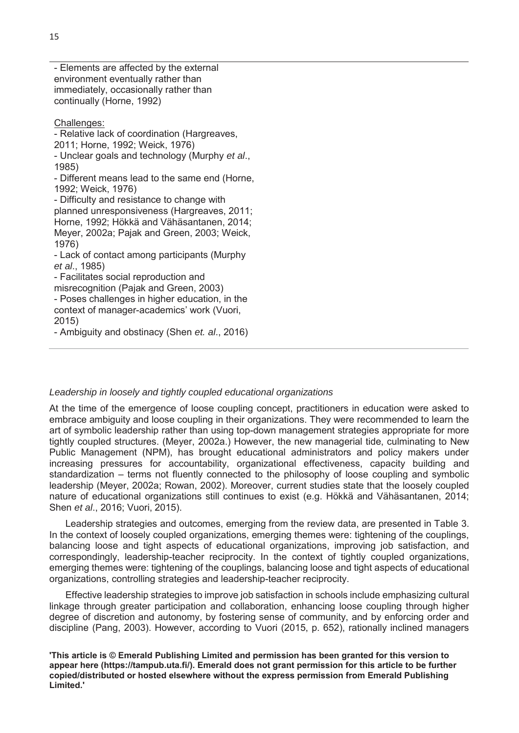- Elements are affected by the external environment eventually rather than immediately, occasionally rather than continually (Horne, 1992)

#### Challenges:

- Relative lack of coordination (Hargreaves,

2011; Horne, 1992; Weick, 1976)

- Unclear goals and technology (Murphy *et al*., 1985)

- Different means lead to the same end (Horne, 1992; Weick, 1976)

- Difficulty and resistance to change with planned unresponsiveness (Hargreaves, 2011; Horne, 1992; Hökkä and Vähäsantanen, 2014; Meyer, 2002a; Pajak and Green, 2003; Weick, 1976)

- Lack of contact among participants (Murphy *et al*., 1985)

- Facilitates social reproduction and

misrecognition (Pajak and Green, 2003)

- Poses challenges in higher education, in the context of manager-academics' work (Vuori, 2015)

- Ambiguity and obstinacy (Shen *et. al*., 2016)

# *Leadership in loosely and tightly coupled educational organizations*

At the time of the emergence of loose coupling concept, practitioners in education were asked to embrace ambiguity and loose coupling in their organizations. They were recommended to learn the art of symbolic leadership rather than using top-down management strategies appropriate for more tightly coupled structures. (Meyer, 2002a.) However, the new managerial tide, culminating to New Public Management (NPM), has brought educational administrators and policy makers under increasing pressures for accountability, organizational effectiveness, capacity building and standardization – terms not fluently connected to the philosophy of loose coupling and symbolic leadership (Meyer, 2002a; Rowan, 2002). Moreover, current studies state that the loosely coupled nature of educational organizations still continues to exist (e.g. Hökkä and Vähäsantanen, 2014; Shen *et al*., 2016; Vuori, 2015).

 Leadership strategies and outcomes, emerging from the review data, are presented in Table 3. In the context of loosely coupled organizations, emerging themes were: tightening of the couplings, balancing loose and tight aspects of educational organizations, improving job satisfaction, and correspondingly, leadership-teacher reciprocity. In the context of tightly coupled organizations, emerging themes were: tightening of the couplings, balancing loose and tight aspects of educational organizations, controlling strategies and leadership-teacher reciprocity.

 Effective leadership strategies to improve job satisfaction in schools include emphasizing cultural linkage through greater participation and collaboration, enhancing loose coupling through higher degree of discretion and autonomy, by fostering sense of community, and by enforcing order and discipline (Pang, 2003). However, according to Vuori (2015, p. 652), rationally inclined managers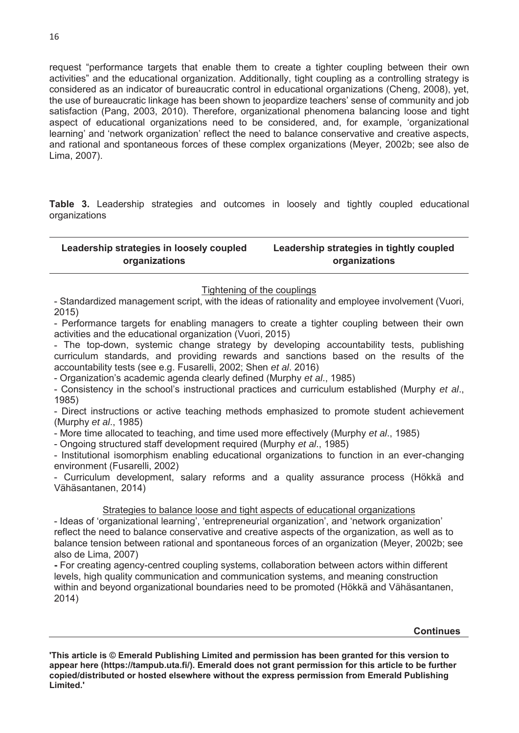request "performance targets that enable them to create a tighter coupling between their own activities" and the educational organization. Additionally, tight coupling as a controlling strategy is considered as an indicator of bureaucratic control in educational organizations (Cheng, 2008), yet, the use of bureaucratic linkage has been shown to jeopardize teachers' sense of community and job satisfaction (Pang, 2003, 2010). Therefore, organizational phenomena balancing loose and tight aspect of educational organizations need to be considered, and, for example, 'organizational learning' and 'network organization' reflect the need to balance conservative and creative aspects, and rational and spontaneous forces of these complex organizations (Meyer, 2002b; see also de Lima, 2007).

**Table 3.** Leadership strategies and outcomes in loosely and tightly coupled educational organizations

#### **Leadership strategies in loosely coupled organizations Leadership strategies in tightly coupled organizations**

# Tightening of the couplings

- Standardized management script, with the ideas of rationality and employee involvement (Vuori, 2015)

- Performance targets for enabling managers to create a tighter coupling between their own activities and the educational organization (Vuori, 2015)

- The top-down, systemic change strategy by developing accountability tests, publishing curriculum standards, and providing rewards and sanctions based on the results of the accountability tests (see e.g. Fusarelli, 2002; Shen *et al*. 2016)

- Organization's academic agenda clearly defined (Murphy *et al*., 1985)

- Consistency in the school's instructional practices and curriculum established (Murphy *et al*., 1985)

- Direct instructions or active teaching methods emphasized to promote student achievement (Murphy *et al*., 1985)

- More time allocated to teaching, and time used more effectively (Murphy *et al*., 1985)

- Ongoing structured staff development required (Murphy *et al*., 1985)

- Institutional isomorphism enabling educational organizations to function in an ever-changing environment (Fusarelli, 2002)

- Curriculum development, salary reforms and a quality assurance process (Hökkä and Vähäsantanen, 2014)

Strategies to balance loose and tight aspects of educational organizations

- Ideas of 'organizational learning', 'entrepreneurial organization', and 'network organization' reflect the need to balance conservative and creative aspects of the organization, as well as to balance tension between rational and spontaneous forces of an organization (Meyer, 2002b; see also de Lima, 2007)

**-** For creating agency-centred coupling systems, collaboration between actors within different levels, high quality communication and communication systems, and meaning construction within and beyond organizational boundaries need to be promoted (Hökkä and Vähäsantanen, 2014)

**Continues**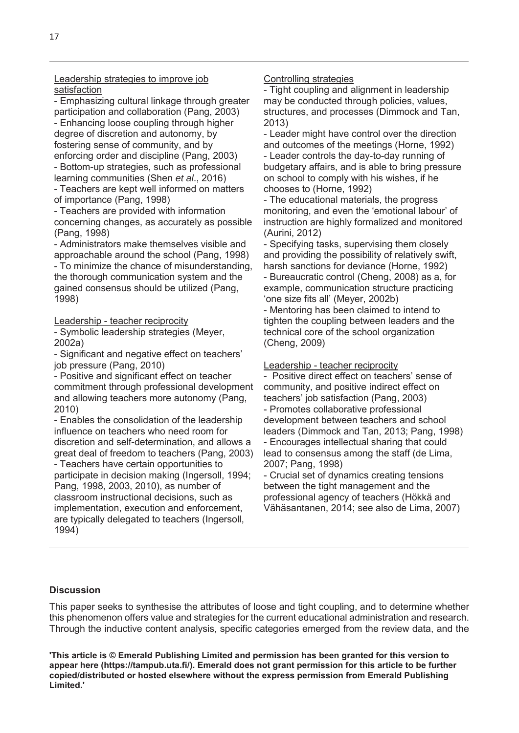Leadership strategies to improve job satisfaction

- Emphasizing cultural linkage through greater participation and collaboration (Pang, 2003)

- Enhancing loose coupling through higher degree of discretion and autonomy, by fostering sense of community, and by enforcing order and discipline (Pang, 2003)

- Bottom-up strategies, such as professional learning communities (Shen *et al*., 2016)

- Teachers are kept well informed on matters of importance (Pang, 1998)

- Teachers are provided with information concerning changes, as accurately as possible (Pang, 1998)

- Administrators make themselves visible and approachable around the school (Pang, 1998) - To minimize the chance of misunderstanding, the thorough communication system and the gained consensus should be utilized (Pang, 1998)

Leadership - teacher reciprocity

- Symbolic leadership strategies (Meyer, 2002a)

- Significant and negative effect on teachers' job pressure (Pang, 2010)

- Positive and significant effect on teacher commitment through professional development and allowing teachers more autonomy (Pang, 2010)

- Enables the consolidation of the leadership influence on teachers who need room for discretion and self-determination, and allows a great deal of freedom to teachers (Pang, 2003)

- Teachers have certain opportunities to participate in decision making (Ingersoll, 1994; Pang, 1998, 2003, 2010), as number of classroom instructional decisions, such as implementation, execution and enforcement, are typically delegated to teachers (Ingersoll, 1994)

#### Controlling strategies

- Tight coupling and alignment in leadership may be conducted through policies, values, structures, and processes (Dimmock and Tan, 2013)

- Leader might have control over the direction and outcomes of the meetings (Horne, 1992) - Leader controls the day-to-day running of budgetary affairs, and is able to bring pressure on school to comply with his wishes, if he chooses to (Horne, 1992)

- The educational materials, the progress monitoring, and even the 'emotional labour' of instruction are highly formalized and monitored (Aurini, 2012)

- Specifying tasks, supervising them closely and providing the possibility of relatively swift, harsh sanctions for deviance (Horne, 1992) - Bureaucratic control (Cheng, 2008) as a, for example, communication structure practicing 'one size fits all' (Meyer, 2002b)

- Mentoring has been claimed to intend to tighten the coupling between leaders and the technical core of the school organization (Cheng, 2009)

Leadership - teacher reciprocity

- Positive direct effect on teachers' sense of community, and positive indirect effect on teachers' job satisfaction (Pang, 2003) - Promotes collaborative professional development between teachers and school leaders (Dimmock and Tan, 2013; Pang, 1998) - Encourages intellectual sharing that could lead to consensus among the staff (de Lima, 2007; Pang, 1998)

- Crucial set of dynamics creating tensions between the tight management and the professional agency of teachers (Hökkä and Vähäsantanen, 2014; see also de Lima, 2007)

#### **Discussion**

This paper seeks to synthesise the attributes of loose and tight coupling, and to determine whether this phenomenon offers value and strategies for the current educational administration and research. Through the inductive content analysis, specific categories emerged from the review data, and the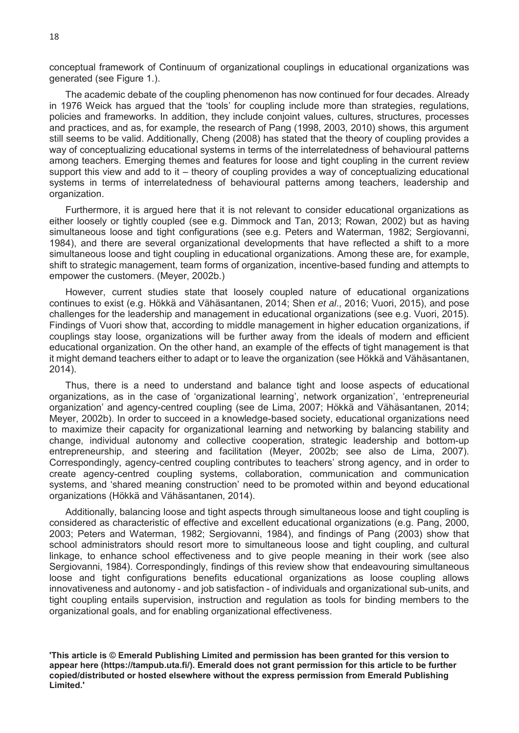conceptual framework of Continuum of organizational couplings in educational organizations was generated (see Figure 1.).

 The academic debate of the coupling phenomenon has now continued for four decades. Already in 1976 Weick has argued that the 'tools' for coupling include more than strategies, regulations, policies and frameworks. In addition, they include conjoint values, cultures, structures, processes and practices, and as, for example, the research of Pang (1998, 2003, 2010) shows, this argument still seems to be valid. Additionally, Cheng (2008) has stated that the theory of coupling provides a way of conceptualizing educational systems in terms of the interrelatedness of behavioural patterns among teachers. Emerging themes and features for loose and tight coupling in the current review support this view and add to it – theory of coupling provides a way of conceptualizing educational systems in terms of interrelatedness of behavioural patterns among teachers, leadership and organization.

 Furthermore, it is argued here that it is not relevant to consider educational organizations as either loosely or tightly coupled (see e.g. Dimmock and Tan, 2013; Rowan, 2002) but as having simultaneous loose and tight configurations (see e.g. Peters and Waterman, 1982; Sergiovanni, 1984), and there are several organizational developments that have reflected a shift to a more simultaneous loose and tight coupling in educational organizations. Among these are, for example, shift to strategic management, team forms of organization, incentive-based funding and attempts to empower the customers. (Meyer, 2002b.)

 However, current studies state that loosely coupled nature of educational organizations continues to exist (e.g. Hökkä and Vähäsantanen, 2014; Shen *et al*., 2016; Vuori, 2015), and pose challenges for the leadership and management in educational organizations (see e.g. Vuori, 2015). Findings of Vuori show that, according to middle management in higher education organizations, if couplings stay loose, organizations will be further away from the ideals of modern and efficient educational organization. On the other hand, an example of the effects of tight management is that it might demand teachers either to adapt or to leave the organization (see Hökkä and Vähäsantanen, 2014).

 Thus, there is a need to understand and balance tight and loose aspects of educational organizations, as in the case of 'organizational learning', network organization', 'entrepreneurial organization' and agency-centred coupling (see de Lima, 2007; Hökkä and Vähäsantanen, 2014; Meyer, 2002b). In order to succeed in a knowledge-based society, educational organizations need to maximize their capacity for organizational learning and networking by balancing stability and change, individual autonomy and collective cooperation, strategic leadership and bottom-up entrepreneurship, and steering and facilitation (Meyer, 2002b; see also de Lima, 2007). Correspondingly, agency-centred coupling contributes to teachers' strong agency, and in order to create agency-centred coupling systems, collaboration, communication and communication systems, and 'shared meaning construction' need to be promoted within and beyond educational organizations (Hökkä and Vähäsantanen, 2014).

Additionally, balancing loose and tight aspects through simultaneous loose and tight coupling is considered as characteristic of effective and excellent educational organizations (e.g. Pang, 2000, 2003; Peters and Waterman, 1982; Sergiovanni, 1984), and findings of Pang (2003) show that school administrators should resort more to simultaneous loose and tight coupling, and cultural linkage, to enhance school effectiveness and to give people meaning in their work (see also Sergiovanni, 1984). Correspondingly, findings of this review show that endeavouring simultaneous loose and tight configurations benefits educational organizations as loose coupling allows innovativeness and autonomy - and job satisfaction - of individuals and organizational sub-units, and tight coupling entails supervision, instruction and regulation as tools for binding members to the organizational goals, and for enabling organizational effectiveness.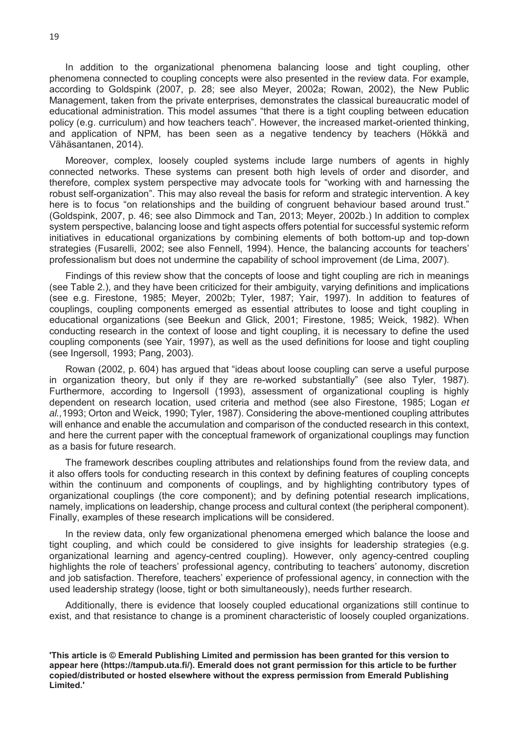In addition to the organizational phenomena balancing loose and tight coupling, other phenomena connected to coupling concepts were also presented in the review data. For example, according to Goldspink (2007, p. 28; see also Meyer, 2002a; Rowan, 2002), the New Public Management, taken from the private enterprises, demonstrates the classical bureaucratic model of educational administration. This model assumes "that there is a tight coupling between education policy (e.g. curriculum) and how teachers teach". However, the increased market-oriented thinking, and application of NPM, has been seen as a negative tendency by teachers (Hökkä and Vähäsantanen, 2014).

 Moreover, complex, loosely coupled systems include large numbers of agents in highly connected networks. These systems can present both high levels of order and disorder, and therefore, complex system perspective may advocate tools for "working with and harnessing the robust self-organization". This may also reveal the basis for reform and strategic intervention. A key here is to focus "on relationships and the building of congruent behaviour based around trust." (Goldspink, 2007, p. 46; see also Dimmock and Tan, 2013; Meyer, 2002b.) In addition to complex system perspective, balancing loose and tight aspects offers potential for successful systemic reform initiatives in educational organizations by combining elements of both bottom-up and top-down strategies (Fusarelli, 2002; see also Fennell, 1994). Hence, the balancing accounts for teachers' professionalism but does not undermine the capability of school improvement (de Lima, 2007).

 Findings of this review show that the concepts of loose and tight coupling are rich in meanings (see Table 2.), and they have been criticized for their ambiguity, varying definitions and implications (see e.g. Firestone, 1985; Meyer, 2002b; Tyler, 1987; Yair, 1997). In addition to features of couplings, coupling components emerged as essential attributes to loose and tight coupling in educational organizations (see Beekun and Glick, 2001; Firestone, 1985; Weick, 1982). When conducting research in the context of loose and tight coupling, it is necessary to define the used coupling components (see Yair, 1997), as well as the used definitions for loose and tight coupling (see Ingersoll, 1993; Pang, 2003).

 Rowan (2002, p. 604) has argued that "ideas about loose coupling can serve a useful purpose in organization theory, but only if they are re-worked substantially" (see also Tyler, 1987). Furthermore, according to Ingersoll (1993), assessment of organizational coupling is highly dependent on research location, used criteria and method (see also Firestone, 1985; Logan *et al.,*1993; Orton and Weick, 1990; Tyler, 1987). Considering the above-mentioned coupling attributes will enhance and enable the accumulation and comparison of the conducted research in this context, and here the current paper with the conceptual framework of organizational couplings may function as a basis for future research.

 The framework describes coupling attributes and relationships found from the review data, and it also offers tools for conducting research in this context by defining features of coupling concepts within the continuum and components of couplings, and by highlighting contributory types of organizational couplings (the core component); and by defining potential research implications, namely, implications on leadership, change process and cultural context (the peripheral component). Finally, examples of these research implications will be considered.

 In the review data, only few organizational phenomena emerged which balance the loose and tight coupling, and which could be considered to give insights for leadership strategies (e.g. organizational learning and agency-centred coupling). However, only agency-centred coupling highlights the role of teachers' professional agency, contributing to teachers' autonomy, discretion and job satisfaction. Therefore, teachers' experience of professional agency, in connection with the used leadership strategy (loose, tight or both simultaneously), needs further research.

 Additionally, there is evidence that loosely coupled educational organizations still continue to exist, and that resistance to change is a prominent characteristic of loosely coupled organizations.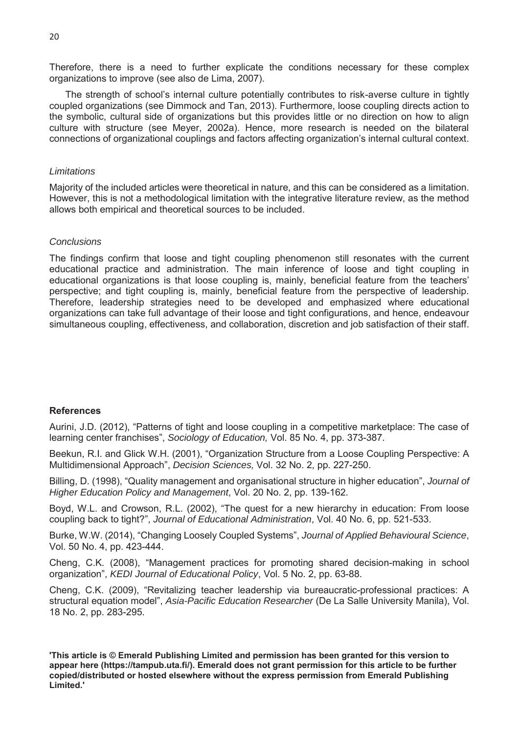Therefore, there is a need to further explicate the conditions necessary for these complex organizations to improve (see also de Lima, 2007).

 The strength of school's internal culture potentially contributes to risk-averse culture in tightly coupled organizations (see Dimmock and Tan, 2013). Furthermore, loose coupling directs action to the symbolic, cultural side of organizations but this provides little or no direction on how to align culture with structure (see Meyer, 2002a). Hence, more research is needed on the bilateral connections of organizational couplings and factors affecting organization's internal cultural context.

#### *Limitations*

Majority of the included articles were theoretical in nature, and this can be considered as a limitation. However, this is not a methodological limitation with the integrative literature review, as the method allows both empirical and theoretical sources to be included.

#### *Conclusions*

The findings confirm that loose and tight coupling phenomenon still resonates with the current educational practice and administration. The main inference of loose and tight coupling in educational organizations is that loose coupling is, mainly, beneficial feature from the teachers' perspective; and tight coupling is, mainly, beneficial feature from the perspective of leadership. Therefore, leadership strategies need to be developed and emphasized where educational organizations can take full advantage of their loose and tight configurations, and hence, endeavour simultaneous coupling, effectiveness, and collaboration, discretion and job satisfaction of their staff.

#### **References**

Aurini, J.D. (2012), "Patterns of tight and loose coupling in a competitive marketplace: The case of learning center franchises", *Sociology of Education,* Vol. 85 No. 4, pp. 373-387.

Beekun, R.I. and Glick W.H. (2001), "Organization Structure from a Loose Coupling Perspective: A Multidimensional Approach", *Decision Sciences,* Vol. 32 No. 2, pp. 227-250.

Billing, D. (1998), "Quality management and organisational structure in higher education", *Journal of Higher Education Policy and Management*, Vol. 20 No. 2, pp. 139-162.

Boyd, W.L. and Crowson, R.L. (2002), "The quest for a new hierarchy in education: From loose coupling back to tight?", *Journal of Educational Administration*, Vol. 40 No. 6, pp. 521-533.

Burke, W.W. (2014), "Changing Loosely Coupled Systems", *Journal of Applied Behavioural Science*, Vol. 50 No. 4, pp. 423-444.

Cheng, C.K. (2008), "Management practices for promoting shared decision-making in school organization", *KEDI Journal of Educational Policy*, Vol. 5 No. 2, pp. 63-88.

Cheng, C.K. (2009), "Revitalizing teacher leadership via bureaucratic-professional practices: A structural equation model", *Asia-Pacific Education Researcher* (De La Salle University Manila), Vol. 18 No. 2, pp. 283-295.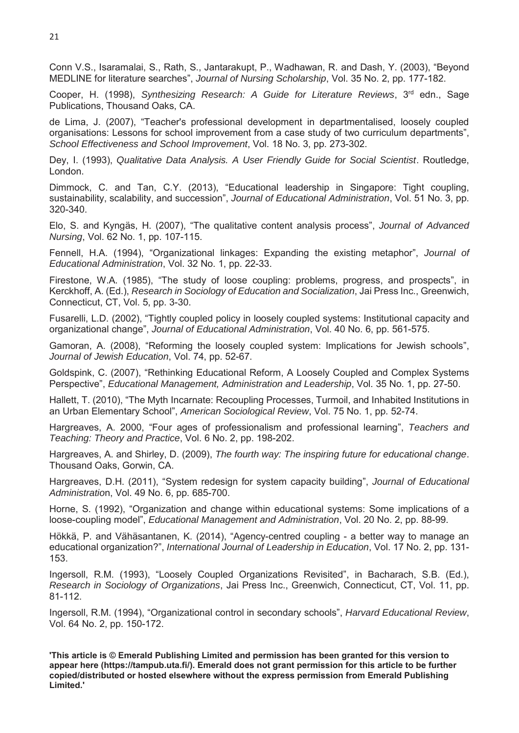Conn V.S., Isaramalai, S., Rath, S., Jantarakupt, P., Wadhawan, R. and Dash, Y. (2003), "Beyond MEDLINE for literature searches", *Journal of Nursing Scholarship*, Vol. 35 No. 2, pp. 177-182.

Cooper, H. (1998), *Synthesizing Research: A Guide for Literature Reviews*, 3rd edn., Sage Publications, Thousand Oaks, CA.

de Lima, J. (2007), "Teacher's professional development in departmentalised, loosely coupled organisations: Lessons for school improvement from a case study of two curriculum departments", *School Effectiveness and School Improvement*, Vol. 18 No. 3, pp. 273-302.

Dey, I. (1993), *Qualitative Data Analysis. A User Friendly Guide for Social Scientist*. Routledge, London.

Dimmock, C. and Tan, C.Y. (2013), "Educational leadership in Singapore: Tight coupling, sustainability, scalability, and succession", *Journal of Educational Administration*, Vol. 51 No. 3, pp. 320-340.

Elo, S. and Kyngäs, H. (2007), "The qualitative content analysis process", *Journal of Advanced Nursing*, Vol. 62 No. 1, pp. 107-115.

Fennell, H.A. (1994), "Organizational linkages: Expanding the existing metaphor", *Journal of Educational Administration*, Vol. 32 No. 1, pp. 22-33.

Firestone, W.A. (1985), "The study of loose coupling: problems, progress, and prospects", in Kerckhoff, A. (Ed.), *Research in Sociology of Education and Socialization*, Jai Press Inc., Greenwich, Connecticut, CT, Vol. 5, pp. 3-30.

Fusarelli, L.D. (2002), "Tightly coupled policy in loosely coupled systems: Institutional capacity and organizational change", *Journal of Educational Administration*, Vol. 40 No. 6, pp. 561-575.

Gamoran, A. (2008), "Reforming the loosely coupled system: Implications for Jewish schools", *Journal of Jewish Education*, Vol. 74, pp. 52-67.

Goldspink, C. (2007), "Rethinking Educational Reform, A Loosely Coupled and Complex Systems Perspective", *Educational Management, Administration and Leadership*, Vol. 35 No. 1, pp. 27-50.

Hallett, T. (2010), "The Myth Incarnate: Recoupling Processes, Turmoil, and Inhabited Institutions in an Urban Elementary School", *American Sociological Review*, Vol. 75 No. 1, pp. 52-74.

Hargreaves, A. 2000, "Four ages of professionalism and professional learning", *Teachers and Teaching: Theory and Practice*, Vol. 6 No. 2, pp. 198-202.

Hargreaves, A. and Shirley, D. (2009), *The fourth way: The inspiring future for educational change*. Thousand Oaks, Gorwin, CA.

Hargreaves, D.H. (2011), "System redesign for system capacity building", *Journal of Educational Administratio*n, Vol. 49 No. 6, pp. 685-700.

Horne, S. (1992), "Organization and change within educational systems: Some implications of a loose-coupling model", *Educational Management and Administration*, Vol. 20 No. 2, pp. 88-99.

Hökkä, P. and Vähäsantanen, K. (2014), "Agency-centred coupling - a better way to manage an educational organization?", *International Journal of Leadership in Education*, Vol. 17 No. 2, pp. 131- 153.

Ingersoll, R.M. (1993), "Loosely Coupled Organizations Revisited", in Bacharach, S.B. (Ed.), *Research in Sociology of Organizations*, Jai Press Inc., Greenwich, Connecticut, CT, Vol. 11, pp. 81-112.

Ingersoll, R.M. (1994), "Organizational control in secondary schools", *Harvard Educational Review*, Vol. 64 No. 2, pp. 150-172.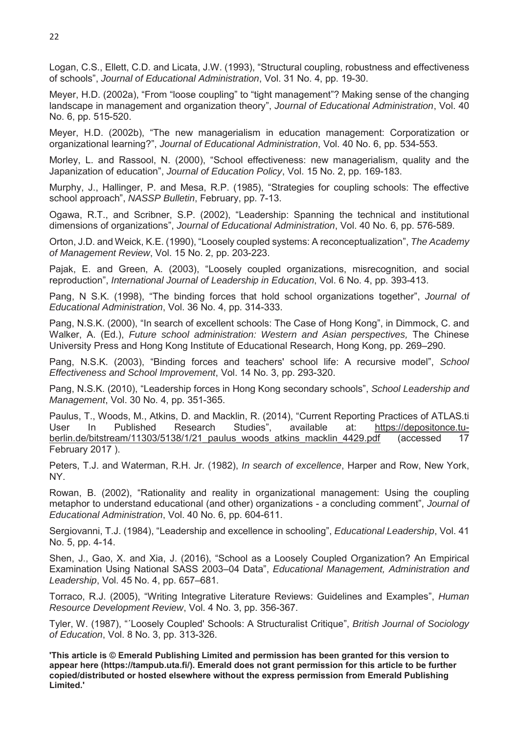Logan, C.S., Ellett, C.D. and Licata, J.W. (1993), "Structural coupling, robustness and effectiveness of schools", *Journal of Educational Administration*, Vol. 31 No. 4, pp. 19-30.

Meyer, H.D. (2002a), "From "loose coupling" to "tight management"? Making sense of the changing landscape in management and organization theory", *Journal of Educational Administration*, Vol. 40 No. 6, pp. 515-520.

Meyer, H.D. (2002b), "The new managerialism in education management: Corporatization or organizational learning?", *Journal of Educational Administration*, Vol. 40 No. 6, pp. 534-553.

Morley, L. and Rassool, N. (2000), "School effectiveness: new managerialism, quality and the Japanization of education", *Journal of Education Policy*, Vol. 15 No. 2, pp. 169-183.

Murphy, J., Hallinger, P. and Mesa, R.P. (1985), "Strategies for coupling schools: The effective school approach", *NASSP Bulletin*, February, pp. 7-13.

Ogawa, R.T., and Scribner, S.P. (2002), "Leadership: Spanning the technical and institutional dimensions of organizations", *Journal of Educational Administration*, Vol. 40 No. 6, pp. 576-589.

Orton, J.D. and Weick, K.E. (1990), "Loosely coupled systems: A reconceptualization", *The Academy of Management Review*, Vol. 15 No. 2, pp. 203-223.

Pajak, E. and Green, A. (2003), "Loosely coupled organizations, misrecognition, and social reproduction", *International Journal of Leadership in Education*, Vol. 6 No. 4, pp. 393-413.

Pang, N S.K. (1998), "The binding forces that hold school organizations together", *Journal of Educational Administration*, Vol. 36 No. 4, pp. 314-333.

Pang, N.S.K. (2000), "In search of excellent schools: The Case of Hong Kong", in Dimmock, C. and Walker, A. (Ed.), *Future school administration: Western and Asian perspectives,* The Chinese University Press and Hong Kong Institute of Educational Research, Hong Kong, pp. 269–290.

Pang, N.S.K. (2003), "Binding forces and teachers' school life: A recursive model", *School Effectiveness and School Improvement*, Vol. 14 No. 3, pp. 293-320.

Pang, N.S.K. (2010), "Leadership forces in Hong Kong secondary schools", *School Leadership and Management*, Vol. 30 No. 4, pp. 351-365.

Paulus, T., Woods, M., Atkins, D. and Macklin, R. (2014), "Current Reporting Practices of ATLAS.ti User In Published Research Studies", available at: https://depositonce.tuberlin.de/bitstream/11303/5138/1/21 paulus woods atkins macklin 4429.pdf (accessed 17 February 2017 ).

Peters, T.J. and Waterman, R.H. Jr. (1982), *In search of excellence*, Harper and Row, New York, NY.

Rowan, B. (2002), "Rationality and reality in organizational management: Using the coupling metaphor to understand educational (and other) organizations - a concluding comment", *Journal of Educational Administration*, Vol. 40 No. 6, pp. 604-611.

Sergiovanni, T.J. (1984), "Leadership and excellence in schooling", *Educational Leadership*, Vol. 41 No. 5, pp. 4-14.

Shen, J., Gao, X. and Xia, J. (2016), "School as a Loosely Coupled Organization? An Empirical Examination Using National SASS 2003–04 Data", *Educational Management, Administration and Leadership*, Vol. 45 No. 4, pp. 657–681.

Torraco, R.J. (2005), "Writing Integrative Literature Reviews: Guidelines and Examples", *Human Resource Development Review*, Vol. 4 No. 3, pp. 356-367.

Tyler, W. (1987), "´Loosely Coupled' Schools: A Structuralist Critique", *British Journal of Sociology of Education*, Vol. 8 No. 3, pp. 313-326.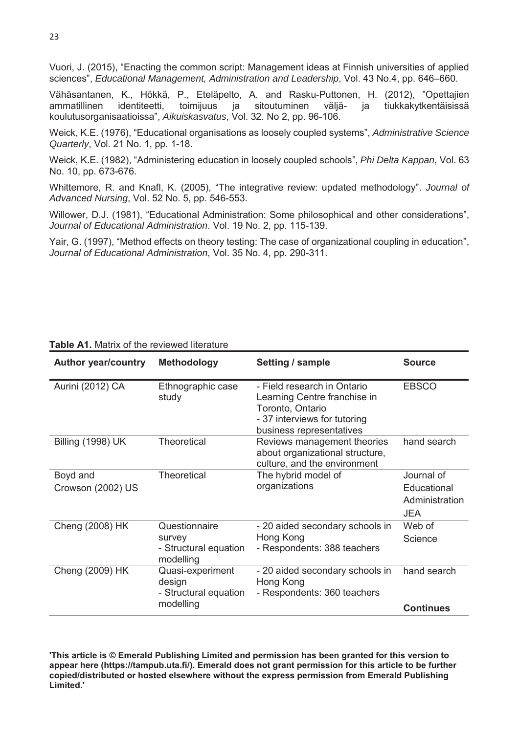Vuori, J. (2015), "Enacting the common script: Management ideas at Finnish universities of applied sciences", *Educational Management, Administration and Leadership*, Vol. 43 No.4, pp. 646–660.

Vähäsantanen, K., Hökkä, P., Eteläpelto, A. and Rasku-Puttonen, H. (2012), "Opettajien ammatillinen identiteetti, toimijuus ja sitoutuminen väljä- ja tiukkakytkentäisissä koulutusorganisaatioissa", *Aikuiskasvatus*, Vol. 32. No 2, pp. 96-106.

Weick, K.E. (1976), "Educational organisations as loosely coupled systems", *Administrative Science Quarterly*, Vol. 21 No. 1, pp. 1-18.

Weick, K.E. (1982), "Administering education in loosely coupled schools", *Phi Delta Kappan*, Vol. 63 No. 10, pp. 673-676.

Whittemore, R. and Knafl, K. (2005), "The integrative review: updated methodology". *Journal of Advanced Nursing*, Vol. 52 No. 5, pp. 546-553.

Willower, D.J. (1981), "Educational Administration: Some philosophical and other considerations", *Journal of Educational Administration*. Vol. 19 No. 2, pp. 115-139.

Yair, G. (1997), "Method effects on theory testing: The case of organizational coupling in education", *Journal of Educational Administration*, Vol. 35 No. 4, pp. 290-311.

| <b>Author year/country</b>    | <b>Methodology</b>                                               | Setting / sample                                                                                                                            | <b>Source</b>                                             |
|-------------------------------|------------------------------------------------------------------|---------------------------------------------------------------------------------------------------------------------------------------------|-----------------------------------------------------------|
| Aurini (2012) CA              | Ethnographic case<br>study                                       | - Field research in Ontario<br>Learning Centre franchise in<br>Toronto, Ontario<br>- 37 interviews for tutoring<br>business representatives | <b>EBSCO</b>                                              |
| <b>Billing (1998) UK</b>      | <b>Theoretical</b>                                               | Reviews management theories<br>about organizational structure,<br>culture, and the environment                                              | hand search                                               |
| Boyd and<br>Crowson (2002) US | <b>Theoretical</b>                                               | The hybrid model of<br>organizations                                                                                                        | Journal of<br>Educational<br>Administration<br><b>JEA</b> |
| Cheng (2008) HK               | Questionnaire<br>survey<br>- Structural equation<br>modelling    | - 20 aided secondary schools in<br>Hong Kong<br>- Respondents: 388 teachers                                                                 | Web of<br>Science                                         |
| Cheng (2009) HK               | Quasi-experiment<br>design<br>- Structural equation<br>modelling | - 20 aided secondary schools in<br>Hong Kong<br>- Respondents: 360 teachers                                                                 | hand search<br><b>Continues</b>                           |

#### **Table A1.** Matrix of the reviewed literature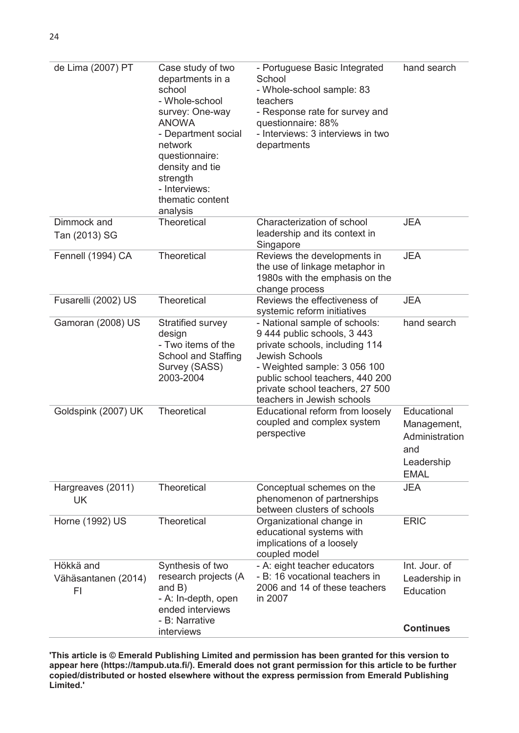| de Lima (2007) PT                      | Case study of two<br>departments in a<br>school<br>- Whole-school<br>survey: One-way<br><b>ANOWA</b><br>- Department social<br>network<br>questionnaire:<br>density and tie<br>strength<br>- Interviews:<br>thematic content<br>analysis | - Portuguese Basic Integrated<br>School<br>- Whole-school sample: 83<br>teachers<br>- Response rate for survey and<br>questionnaire: 88%<br>- Interviews: 3 interviews in two<br>departments                                                                | hand search                                                                      |
|----------------------------------------|------------------------------------------------------------------------------------------------------------------------------------------------------------------------------------------------------------------------------------------|-------------------------------------------------------------------------------------------------------------------------------------------------------------------------------------------------------------------------------------------------------------|----------------------------------------------------------------------------------|
| Dimmock and<br>Tan (2013) SG           | Theoretical                                                                                                                                                                                                                              | Characterization of school<br>leadership and its context in<br>Singapore                                                                                                                                                                                    | <b>JEA</b>                                                                       |
| Fennell (1994) CA                      | Theoretical                                                                                                                                                                                                                              | Reviews the developments in<br>the use of linkage metaphor in<br>1980s with the emphasis on the<br>change process                                                                                                                                           | <b>JEA</b>                                                                       |
| Fusarelli (2002) US                    | Theoretical                                                                                                                                                                                                                              | Reviews the effectiveness of<br>systemic reform initiatives                                                                                                                                                                                                 | <b>JEA</b>                                                                       |
| Gamoran (2008) US                      | Stratified survey<br>design<br>- Two items of the<br><b>School and Staffing</b><br>Survey (SASS)<br>2003-2004                                                                                                                            | - National sample of schools:<br>9 444 public schools, 3 443<br>private schools, including 114<br><b>Jewish Schools</b><br>- Weighted sample: 3 056 100<br>public school teachers, 440 200<br>private school teachers, 27 500<br>teachers in Jewish schools | hand search                                                                      |
| Goldspink (2007) UK                    | Theoretical                                                                                                                                                                                                                              | Educational reform from loosely<br>coupled and complex system<br>perspective                                                                                                                                                                                | Educational<br>Management,<br>Administration<br>and<br>Leadership<br><b>EMAL</b> |
| Hargreaves (2011)<br><b>UK</b>         | Theoretical                                                                                                                                                                                                                              | Conceptual schemes on the<br>phenomenon of partnerships<br>between clusters of schools                                                                                                                                                                      | <b>JEA</b>                                                                       |
| Horne (1992) US                        | Theoretical                                                                                                                                                                                                                              | Organizational change in<br>educational systems with<br>implications of a loosely<br>coupled model                                                                                                                                                          | <b>ERIC</b>                                                                      |
| Hökkä and<br>Vähäsantanen (2014)<br>FI | Synthesis of two<br>research projects (A<br>and $B$ )<br>- A: In-depth, open<br>ended interviews<br>- B: Narrative                                                                                                                       | - A: eight teacher educators<br>- B: 16 vocational teachers in<br>2006 and 14 of these teachers<br>in 2007                                                                                                                                                  | Int. Jour. of<br>Leadership in<br>Education                                      |
|                                        | interviews                                                                                                                                                                                                                               |                                                                                                                                                                                                                                                             | <b>Continues</b>                                                                 |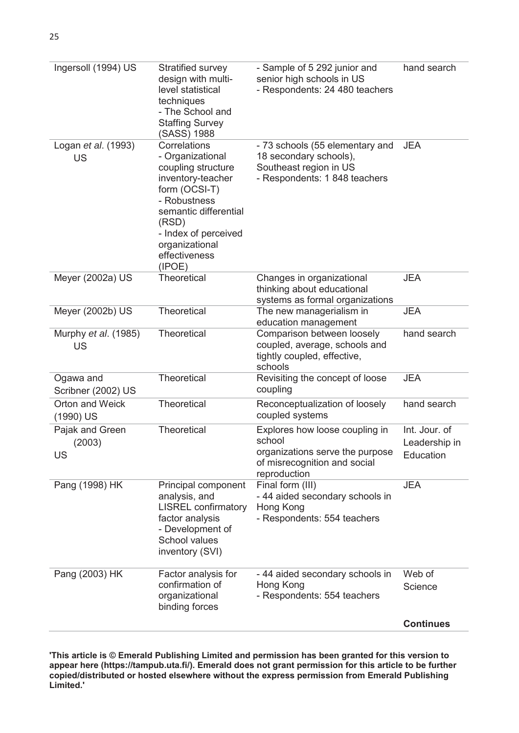| Ingersoll (1994) US              | Stratified survey<br>design with multi-<br>level statistical<br>techniques<br>- The School and<br><b>Staffing Survey</b><br>(SASS) 1988                                                                             | - Sample of 5 292 junior and<br>senior high schools in US<br>- Respondents: 24 480 teachers                                 | hand search                                 |
|----------------------------------|---------------------------------------------------------------------------------------------------------------------------------------------------------------------------------------------------------------------|-----------------------------------------------------------------------------------------------------------------------------|---------------------------------------------|
| Logan et al. (1993)<br><b>US</b> | Correlations<br>- Organizational<br>coupling structure<br>inventory-teacher<br>form (OCSI-T)<br>- Robustness<br>semantic differential<br>(RSD)<br>- Index of perceived<br>organizational<br>effectiveness<br>(IPOE) | - 73 schools (55 elementary and<br>18 secondary schools),<br>Southeast region in US<br>- Respondents: 1 848 teachers        | <b>JEA</b>                                  |
| Meyer (2002a) US                 | <b>Theoretical</b>                                                                                                                                                                                                  | Changes in organizational<br>thinking about educational<br>systems as formal organizations                                  | <b>JEA</b>                                  |
| Meyer (2002b) US                 | <b>Theoretical</b>                                                                                                                                                                                                  | The new managerialism in<br>education management                                                                            | <b>JEA</b>                                  |
| Murphy et al. (1985)<br>US       | Theoretical                                                                                                                                                                                                         | Comparison between loosely<br>coupled, average, schools and<br>tightly coupled, effective,<br>schools                       | hand search                                 |
| Ogawa and<br>Scribner (2002) US  | Theoretical                                                                                                                                                                                                         | Revisiting the concept of loose<br>coupling                                                                                 | <b>JEA</b>                                  |
| Orton and Weick<br>(1990) US     | Theoretical                                                                                                                                                                                                         | Reconceptualization of loosely<br>coupled systems                                                                           | hand search                                 |
| Pajak and Green<br>(2003)<br>US  | Theoretical                                                                                                                                                                                                         | Explores how loose coupling in<br>school<br>organizations serve the purpose<br>of misrecognition and social<br>reproduction | Int. Jour. of<br>Leadership in<br>Education |
| Pang (1998) HK                   | Principal component<br>analysis, and<br><b>LISREL</b> confirmatory<br>factor analysis<br>- Development of<br>School values<br>inventory (SVI)                                                                       | Final form (III)<br>- 44 aided secondary schools in<br>Hong Kong<br>- Respondents: 554 teachers                             | <b>JEA</b>                                  |
| Pang (2003) HK                   | Factor analysis for<br>confirmation of<br>organizational<br>binding forces                                                                                                                                          | - 44 aided secondary schools in<br>Hong Kong<br>- Respondents: 554 teachers                                                 | Web of<br>Science                           |
|                                  |                                                                                                                                                                                                                     |                                                                                                                             | <b>Continues</b>                            |